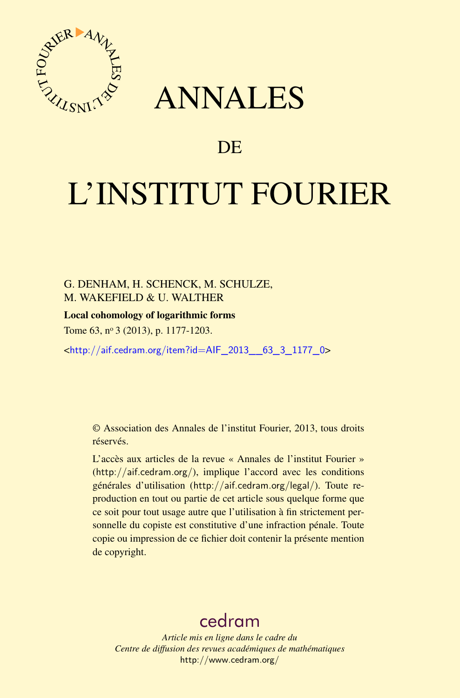



# **DE**

# L'INSTITUT FOURIER

# G. DENHAM, H. SCHENCK, M. SCHULZE, M. WAKEFIELD & U. WALTHER

## Local cohomology of logarithmic forms

Tome 63, nº 3 (2013), p. 1177-1203.

<[http://aif.cedram.org/item?id=AIF\\_2013\\_\\_63\\_3\\_1177\\_0](http://aif.cedram.org/item?id=AIF_2013__63_3_1177_0)>

© Association des Annales de l'institut Fourier, 2013, tous droits réservés.

L'accès aux articles de la revue « Annales de l'institut Fourier » (<http://aif.cedram.org/>), implique l'accord avec les conditions générales d'utilisation (<http://aif.cedram.org/legal/>). Toute reproduction en tout ou partie de cet article sous quelque forme que ce soit pour tout usage autre que l'utilisation à fin strictement personnelle du copiste est constitutive d'une infraction pénale. Toute copie ou impression de ce fichier doit contenir la présente mention de copyright.

# [cedram](http://www.cedram.org/)

*Article mis en ligne dans le cadre du Centre de diffusion des revues académiques de mathématiques* <http://www.cedram.org/>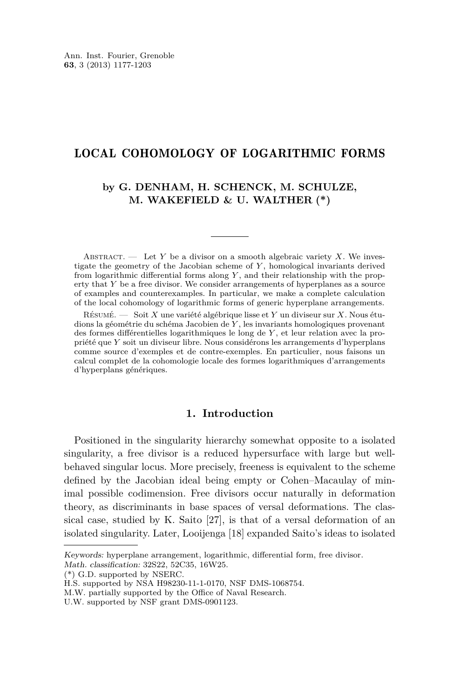# LOCAL COHOMOLOGY OF LOGARITHMIC FORMS

## **by G. DENHAM, H. SCHENCK, M. SCHULZE, M. WAKEFIELD & U. WALTHER (\*)**

ABSTRACT. — Let *Y* be a divisor on a smooth algebraic variety *X*. We investigate the geometry of the Jacobian scheme of *Y* , homological invariants derived from logarithmic differential forms along *Y* , and their relationship with the property that *Y* be a free divisor. We consider arrangements of hyperplanes as a source of examples and counterexamples. In particular, we make a complete calculation of the local cohomology of logarithmic forms of generic hyperplane arrangements.

Résumé. — Soit *X* une variété algébrique lisse et *Y* un diviseur sur *X*. Nous étudions la géométrie du schéma Jacobien de *Y* , les invariants homologiques provenant des formes différentielles logarithmiques le long de *Y* , et leur relation avec la propriété que *Y* soit un diviseur libre. Nous considérons les arrangements d'hyperplans comme source d'exemples et de contre-exemples. En particulier, nous faisons un calcul complet de la cohomologie locale des formes logarithmiques d'arrangements d'hyperplans génériques.

## **1. Introduction**

Positioned in the singularity hierarchy somewhat opposite to a isolated singularity, a free divisor is a reduced hypersurface with large but wellbehaved singular locus. More precisely, freeness is equivalent to the scheme defined by the Jacobian ideal being empty or Cohen–Macaulay of minimal possible codimension. Free divisors occur naturally in deformation theory, as discriminants in base spaces of versal deformations. The classical case, studied by K. Saito [\[27\]](#page-26-0), is that of a versal deformation of an isolated singularity. Later, Looijenga [\[18\]](#page-26-0) expanded Saito's ideas to isolated

(\*) G.D. supported by NSERC.

Keywords: hyperplane arrangement, logarithmic, differential form, free divisor. Math. classification: 32S22, 52C35, 16W25.

H.S. supported by NSA H98230-11-1-0170, NSF DMS-1068754.

M.W. partially supported by the Office of Naval Research.

U.W. supported by NSF grant DMS-0901123.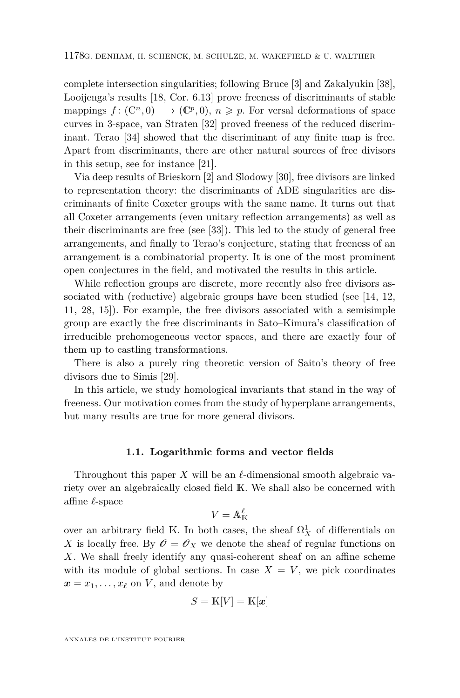complete intersection singularities; following Bruce [\[3\]](#page-25-0) and Zakalyukin [\[38\]](#page-27-0), Looijenga's results [\[18,](#page-26-0) Cor. 6.13] prove freeness of discriminants of stable mappings  $f: (\mathbb{C}^n, 0) \longrightarrow (\mathbb{C}^p, 0), n \geq p$ . For versal deformations of space curves in 3-space, van Straten [\[32\]](#page-26-0) proved freeness of the reduced discriminant. Terao [\[34\]](#page-26-0) showed that the discriminant of any finite map is free. Apart from discriminants, there are other natural sources of free divisors in this setup, see for instance [\[21\]](#page-26-0).

Via deep results of Brieskorn [\[2\]](#page-25-0) and Slodowy [\[30\]](#page-26-0), free divisors are linked to representation theory: the discriminants of ADE singularities are discriminants of finite Coxeter groups with the same name. It turns out that all Coxeter arrangements (even unitary reflection arrangements) as well as their discriminants are free (see [\[33\]](#page-26-0)). This led to the study of general free arrangements, and finally to Terao's conjecture, stating that freeness of an arrangement is a combinatorial property. It is one of the most prominent open conjectures in the field, and motivated the results in this article.

While reflection groups are discrete, more recently also free divisors associated with (reductive) algebraic groups have been studied (see [\[14,](#page-25-0) [12,](#page-25-0) [11,](#page-25-0) [28,](#page-26-0) [15\]](#page-26-0)). For example, the free divisors associated with a semisimple group are exactly the free discriminants in Sato–Kimura's classification of irreducible prehomogeneous vector spaces, and there are exactly four of them up to castling transformations.

There is also a purely ring theoretic version of Saito's theory of free divisors due to Simis [\[29\]](#page-26-0).

In this article, we study homological invariants that stand in the way of freeness. Our motivation comes from the study of hyperplane arrangements, but many results are true for more general divisors.

#### **1.1. Logarithmic forms and vector fields**

Throughout this paper  $X$  will be an  $\ell$ -dimensional smooth algebraic variety over an algebraically closed field K. We shall also be concerned with affine *`*-space

$$
V = \mathbb{A}^\ell_\mathbb{K}
$$

over an arbitrary field K. In both cases, the sheaf  $\Omega^1_X$  of differentials on *X* is locally free. By  $\mathscr{O} = \mathscr{O}_X$  we denote the sheaf of regular functions on *X*. We shall freely identify any quasi-coherent sheaf on an affine scheme with its module of global sections. In case  $X = V$ , we pick coordinates  $\boldsymbol{x} = x_1, \ldots, x_\ell$  on *V*, and denote by

$$
S = \mathbb{K}[V] = \mathbb{K}[\boldsymbol{x}]
$$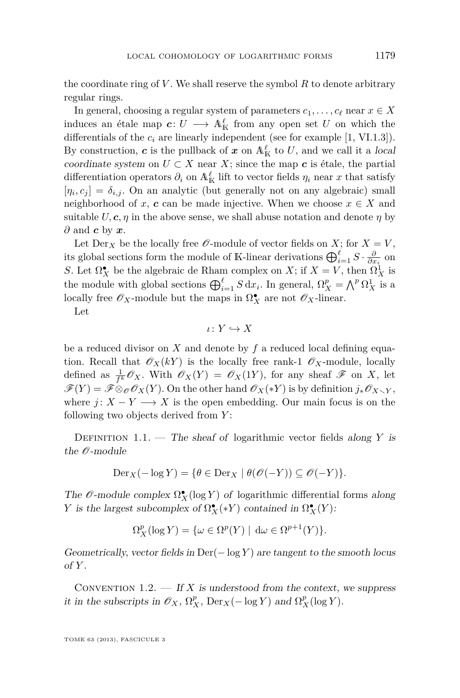the coordinate ring of *V* . We shall reserve the symbol *R* to denote arbitrary regular rings.

In general, choosing a regular system of parameters  $c_1, \ldots, c_\ell$  near  $x \in X$ induces an étale map  $c: U \longrightarrow \mathbb{A}^{\ell}_K$  from any open set *U* on which the differentials of the  $c_i$  are linearly independent (see for example  $[1, VI.1.3]$  $[1, VI.1.3]$ ). By construction, *c* is the pullback of *x* on  $\mathbb{A}^{\ell}_{\mathbb{K}}$  to *U*, and we call it a local coordinate system on  $U \subset X$  near  $X$ ; since the map  $c$  is étale, the partial differentiation operators  $\partial_i$  on  $\mathbb{A}^{\ell}_{\mathbb{K}}$  lift to vector fields  $\eta_i$  near  $x$  that satisfy  $[\eta_i, c_j] = \delta_{i,j}$ . On an analytic (but generally not on any algebraic) small neighborhood of *x*, *c* can be made injective. When we choose  $x \in X$  and suitable  $U, c, \eta$  in the above sense, we shall abuse notation and denote  $\eta$  by *∂* and *c* by *x*.

Let  $Der_X$  be the locally free  $\mathcal{O}$ -module of vector fields on *X*; for  $X = V$ , its global sections form the module of K-linear derivations  $\bigoplus_{i=1}^{\ell} S \cdot \frac{\partial}{\partial x_i}$  on *S*. Let  $\Omega_X^{\bullet}$  be the algebraic de Rham complex on *X*; if  $X = V$ , then  $\Omega_X^1$  is the module with global sections  $\bigoplus_{i=1}^{\ell} S dx_i$ . In general,  $\Omega_X^p = \bigwedge^p \Omega_X^1$  is a locally free  $\mathscr{O}_X$ -module but the maps in  $\Omega_X^{\bullet}$  are not  $\mathscr{O}_X$ -linear.

Let

$$
\iota\colon Y\hookrightarrow X
$$

be a reduced divisor on *X* and denote by *f* a reduced local defining equation. Recall that  $\mathscr{O}_X(kY)$  is the locally free rank-1  $\mathscr{O}_X$ -module, locally defined as  $\frac{1}{f^k}\mathcal{O}_X$ . With  $\mathcal{O}_X(Y) = \mathcal{O}_X(1Y)$ , for any sheaf  $\mathcal F$  on X, let  $\mathscr{F}(Y) = \mathscr{F} \otimes_{\mathscr{O}} \mathscr{O}_X(Y)$ . On the other hand  $\mathscr{O}_X(*Y)$  is by definition  $j_* \mathscr{O}_{X \setminus Y}$ , where  $j: X - Y \longrightarrow X$  is the open embedding. Our main focus is on the following two objects derived from *Y* :

DEFINITION 1.1. — The sheaf of logarithmic vector fields along  $Y$  is the  $\mathcal{O}\text{-module}$ 

$$
\operatorname{Der}_X(-\log Y) = \{ \theta \in \operatorname{Der}_X \mid \theta(\mathscr{O}(-Y)) \subseteq \mathscr{O}(-Y) \}.
$$

The  $\mathscr O$ -module complex  $\Omega^\bullet_X(\log Y)$  of logarithmic differential forms along *Y* is the largest subcomplex of  $\Omega_X^{\bullet}(*Y)$  contained in  $\Omega_X^{\bullet}(Y)$ :

$$
\Omega^p_X(\log Y) = \{ \omega \in \Omega^p(Y) \mid \, \mathrm{d}\omega \in \Omega^{p+1}(Y) \}.
$$

Geometrically, vector fields in  $Der(-log Y)$  are tangent to the smooth locus  $of Y$ .

CONVENTION  $1.2.$  — If *X* is understood from the context, we suppress it in the subscripts in  $\mathscr{O}_X$ ,  $\Omega_X^p$ ,  $\mathrm{Der}_X(-\log Y)$  and  $\Omega_X^p(\log Y)$ .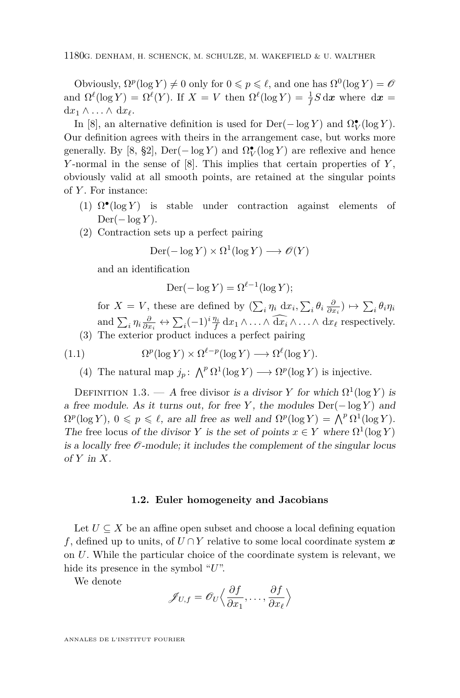Obviously,  $\Omega^p(\log Y) \neq 0$  only for  $0 \leq p \leq \ell$ , and one has  $\Omega^0(\log Y) = \mathcal{O}$ and  $\Omega^{\ell}(\log Y) = \Omega^{\ell}(Y)$ . If  $X = V$  then  $\Omega^{\ell}(\log Y) = \frac{1}{f}S d\mathbf{x}$  where  $d\mathbf{x} =$  $dx_1$  ∧ ... ∧  $dx_\ell$ .

In [\[8\]](#page-25-0), an alternative definition is used for  $Der(-\log Y)$  and  $\Omega_V^{\bullet}(\log Y)$ . Our definition agrees with theirs in the arrangement case, but works more generally. By [\[8,](#page-25-0) §2], Der( $-\log Y$ ) and  $\Omega^{\bullet}_V(\log Y)$  are reflexive and hence *Y* -normal in the sense of [\[8\]](#page-25-0). This implies that certain properties of *Y* , obviously valid at all smooth points, are retained at the singular points of *Y* . For instance:

- (1)  $\Omega^{\bullet}(\log Y)$  is stable under contraction against elements of  $Der(-\log Y)$ .
- (2) Contraction sets up a perfect pairing

$$
Der(-\log Y) \times \Omega^1(\log Y) \longrightarrow \mathcal{O}(Y)
$$

and an identification

$$
\operatorname{Der}(-\log Y) = \Omega^{\ell-1}(\log Y);
$$

for  $X = V$ , these are defined by  $(\sum_i \eta_i \, dx_i, \sum_i \theta_i \, \frac{\partial}{\partial x_i}) \mapsto \sum_i \theta_i \eta_i$ and  $\sum_i \eta_i \frac{\partial}{\partial x_i} \leftrightarrow \sum_i (-1)^i \frac{\eta_i}{f} dx_1 \wedge \ldots \wedge dx_i \wedge \ldots \wedge dx_\ell$  respectively. (3) The exterior product induces a perfect pairing

(1.1) 
$$
\Omega^p(\log Y) \times \Omega^{\ell-p}(\log Y) \longrightarrow \Omega^{\ell}(\log Y).
$$

(4) The natural map  $j_p$ :  $\bigwedge^p \Omega^1(\log Y) \longrightarrow \Omega^p(\log Y)$  is injective.

DEFINITION 1.3. — A free divisor is a divisor *Y* for which  $\Omega^1(\log Y)$  is a free module. As it turns out, for free *Y* , the modules Der(− log *Y* ) and  $\Omega^p(\log Y)$ ,  $0 \leq p \leq \ell$ , are all free as well and  $\Omega^p(\log Y) = \bigwedge^p \Omega^1(\log Y)$ . The free locus of the divisor *Y* is the set of points  $x \in Y$  where  $\Omega^1(\log Y)$ is a locally free  $\mathcal O$ -module; it includes the complement of the singular locus of *Y* in *X*.

#### **1.2. Euler homogeneity and Jacobians**

Let  $U \subseteq X$  be an affine open subset and choose a local defining equation *f*, defined up to units, of  $U \cap Y$  relative to some local coordinate system x on *U*. While the particular choice of the coordinate system is relevant, we hide its presence in the symbol "*U*".

We denote

$$
\mathscr{J}_{U,f} = \mathscr{O}_U \Big\langle \frac{\partial f}{\partial x_1}, \dots, \frac{\partial f}{\partial x_\ell} \Big\rangle
$$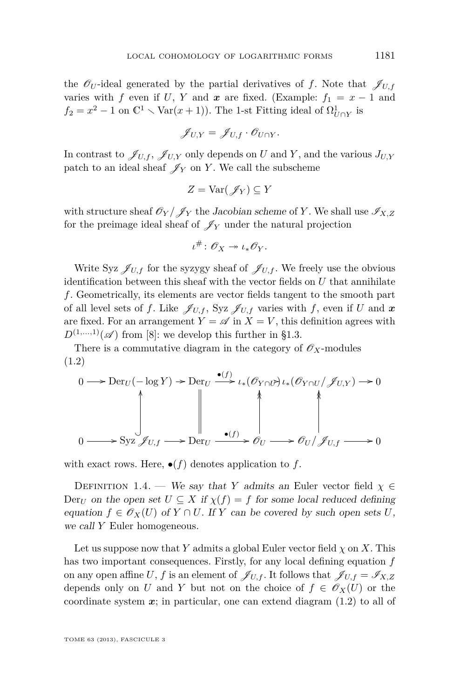<span id="page-5-0"></span>the  $\mathscr{O}_U$ -ideal generated by the partial derivatives of *f*. Note that  $\mathscr{J}_{U,f}$ varies with *f* even if *U*, *Y* and *x* are fixed. (Example:  $f_1 = x - 1$  and  $f_2 = x^2 - 1$  on  $\mathbb{C}^1 \setminus \text{Var}(x+1)$ ). The 1-st Fitting ideal of  $\Omega^1_{U \cap Y}$  is

$$
\mathscr{J}_{U,Y}=\mathscr{J}_{U,f}\cdot\mathscr{O}_{U\cap Y}.
$$

In contrast to  $\mathscr{J}_{U,f}$ ,  $\mathscr{J}_{U,Y}$  only depends on *U* and *Y*, and the various  $J_{U,Y}$ patch to an ideal sheaf  $\mathscr{J}_Y$  on *Y*. We call the subscheme

$$
Z = \text{Var}(\mathscr{J}_Y) \subseteq Y
$$

with structure sheaf  $\mathcal{O}_Y/\mathcal{J}_Y$  the Jacobian scheme of Y. We shall use  $\mathcal{I}_{X,Z}$ for the preimage ideal sheaf of  $\mathscr{J}_Y$  under the natural projection

$$
\iota^{\#} \colon \mathscr{O}_X \twoheadrightarrow \iota_* \mathscr{O}_Y.
$$

Write Syz  $\mathscr{J}_{U,f}$  for the syzygy sheaf of  $\mathscr{J}_{U,f}$ . We freely use the obvious identification between this sheaf with the vector fields on *U* that annihilate *f*. Geometrically, its elements are vector fields tangent to the smooth part of all level sets of *f*. Like  $\mathscr{J}_{U,f}$ , Syz  $\mathscr{J}_{U,f}$  varies with *f*, even if *U* and *x* are fixed. For an arrangement  $Y = \mathscr{A}$  in  $X = V$ , this definition agrees with  $D^{(1,...,1)}(\mathscr{A})$  from [\[8\]](#page-25-0): we develop this further in [§1.3.](#page-6-0)

There is a commutative diagram in the category of  $\mathscr{O}_X$ -modules (1.2)

$$
0 \longrightarrow \text{Der}_U(-\log Y) \to \text{Der}_U \xrightarrow{\bullet(f)} \iota_*(\mathcal{O}_{Y \cap U}) \iota_*(\mathcal{O}_{Y \cap U}/\mathcal{J}_{U,Y}) \to 0
$$
\n
$$
\downarrow \qquad \qquad \downarrow \qquad \qquad \downarrow
$$
\n
$$
0 \longrightarrow \text{Syz }\mathcal{J}_{U,f} \longrightarrow \text{Der}_U \xrightarrow{\bullet(f)} \mathcal{O}_U \longrightarrow \mathcal{O}_U/\mathcal{J}_{U,f} \longrightarrow 0
$$

with exact rows. Here,  $\bullet(f)$  denotes application to f.

DEFINITION 1.4. — We say that *Y* admits an Euler vector field  $\chi \in$  $Der_U$  on the open set  $U \subseteq X$  if  $\chi(f) = f$  for some local reduced defining equation  $f \in \mathcal{O}_X(U)$  of  $Y \cap U$ . If  $Y$  can be covered by such open sets U, we call *Y* Euler homogeneous.

Let us suppose now that *Y* admits a global Euler vector field  $\chi$  on *X*. This has two important consequences. Firstly, for any local defining equation *f* on any open affine *U*, *f* is an element of  $\mathscr{J}_{U,f}$ . It follows that  $\mathscr{J}_{U,f} = \mathscr{I}_{X,Z}$ depends only on *U* and *Y* but not on the choice of  $f \in \mathscr{O}_X(U)$  or the coordinate system  $x$ ; in particular, one can extend diagram  $(1.2)$  to all of

TOME 63 (2013), FASCICULE 3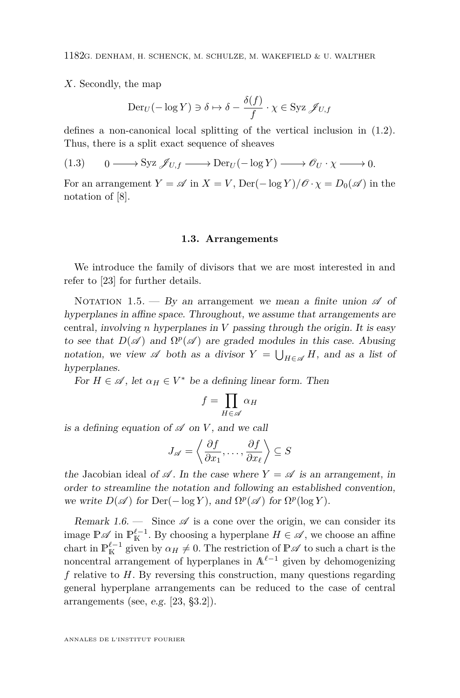<span id="page-6-0"></span>*X*. Secondly, the map

$$
\operatorname{Der}_U(-\log Y) \ni \delta \mapsto \delta - \frac{\delta(f)}{f} \cdot \chi \in \operatorname{Syz} \mathscr{J}_{U,f}
$$

defines a non-canonical local splitting of the vertical inclusion in [\(1.2\)](#page-5-0). Thus, there is a split exact sequence of sheaves

 $(1.3)$  $\mathcal{S}yz \mathcal{J}_{U,f} \longrightarrow \text{Der}_U(-\log Y) \longrightarrow \mathcal{O}_U \cdot \chi \longrightarrow 0.$ 

For an arrangement  $Y = \mathscr{A}$  in  $X = V$ , Der( $-\log Y$ )/ $\mathscr{O} \cdot \chi = D_0(\mathscr{A})$  in the notation of [\[8\]](#page-25-0).

#### **1.3. Arrangements**

We introduce the family of divisors that we are most interested in and refer to [\[23\]](#page-26-0) for further details.

NOTATION 1.5. — By an arrangement we mean a finite union  $\mathscr A$  of hyperplanes in affine space. Throughout, we assume that arrangements are central, involving *n* hyperplanes in *V* passing through the origin. It is easy to see that  $D(\mathscr{A})$  and  $\Omega^p(\mathscr{A})$  are graded modules in this case. Abusing notation, we view  $\mathscr A$  both as a divisor  $Y = \bigcup_{H \in \mathscr A} H$ , and as a list of hyperplanes.

For  $H \in \mathscr{A}$ , let  $\alpha_H \in V^*$  be a defining linear form. Then

$$
f = \prod_{H \in \mathscr{A}} \alpha_H
$$

is a defining equation of  $\mathscr A$  on *V*, and we call

$$
J_{\mathscr{A}} = \left\langle \frac{\partial f}{\partial x_1}, \dots, \frac{\partial f}{\partial x_\ell} \right\rangle \subseteq S
$$

the Jacobian ideal of  $\mathscr A$ . In the case where  $Y = \mathscr A$  is an arrangement, in order to streamline the notation and following an established convention, we write  $D(\mathscr{A})$  for  $Der(-\log Y)$ , and  $\Omega^p(\mathscr{A})$  for  $\Omega^p(\log Y)$ .

Remark 1.6. — Since  $\mathscr A$  is a cone over the origin, we can consider its image  $\mathbb{P}\mathscr{A}$  in  $\mathbb{P}^{\ell-1}_{\mathbb{K}}$ . By choosing a hyperplane  $H \in \mathscr{A}$ , we choose an affine chart in  $\mathbb{P}^{\ell-1}_K$  given by  $\alpha_H \neq 0$ . The restriction of  $\mathbb{P} \mathscr{A}$  to such a chart is the noncentral arrangement of hyperplanes in  $A^{\ell-1}$  given by dehomogenizing *f* relative to *H*. By reversing this construction, many questions regarding general hyperplane arrangements can be reduced to the case of central arrangements (see, e.g. [\[23,](#page-26-0) §3.2]).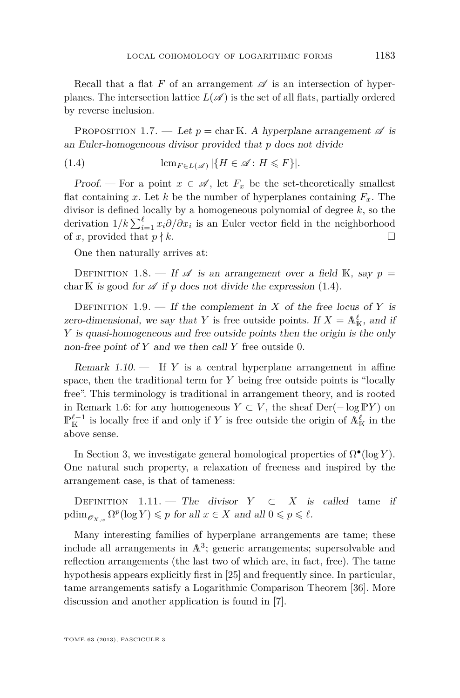<span id="page-7-0"></span>Recall that a flat  $F$  of an arrangement  $\mathscr A$  is an intersection of hyperplanes. The intersection lattice  $L(\mathscr{A})$  is the set of all flats, partially ordered by reverse inclusion.

PROPOSITION 1.7. — Let  $p = \text{char } \mathbb{K}$ . A hyperplane arrangement  $\mathscr{A}$  is an Euler-homogeneous divisor provided that *p* does not divide

(1.4) 
$$
\operatorname{lcm}_{F \in L(\mathscr{A})} |\{H \in \mathscr{A} : H \leqslant F\}|.
$$

Proof. — For a point  $x \in \mathscr{A}$ , let  $F_x$  be the set-theoretically smallest flat containing *x*. Let *k* be the number of hyperplanes containing  $F<sub>x</sub>$ . The divisor is defined locally by a homogeneous polynomial of degree *k*, so the derivation  $1/k \sum_{i=1}^{\ell} x_i \partial/\partial x_i$  is an Euler vector field in the neighborhood of *x*, provided that  $p \nmid k$ .

One then naturally arrives at:

DEFINITION 1.8. — If  $\mathscr A$  is an arrangement over a field K, say  $p =$ char K is good for  $\mathscr A$  if  $p$  does not divide the expression (1.4).

DEFINITION 1.9. — If the complement in *X* of the free locus of *Y* is zero-dimensional, we say that *Y* is free outside points. If  $X = A_K^{\ell}$ , and if *Y* is quasi-homogeneous and free outside points then the origin is the only non-free point of *Y* and we then call *Y* free outside 0.

Remark 1.10. — If *Y* is a central hyperplane arrangement in affine space, then the traditional term for *Y* being free outside points is "locally free". This terminology is traditional in arrangement theory, and is rooted in Remark [1.6:](#page-6-0) for any homogeneous *Y* ⊂ *V*, the sheaf Der(− log P*Y*) on  $\mathbb{P}^{\ell-1}_K$  is locally free if and only if *Y* is free outside the origin of  $\mathbb{A}^{\ell}_K$  in the above sense.

In Section [3,](#page-14-0) we investigate general homological properties of  $\Omega^{\bullet}(\log Y)$ . One natural such property, a relaxation of freeness and inspired by the arrangement case, is that of tameness:

DEFINITION 1.11. — The divisor  $Y \subset X$  is called tame if  $\text{pdim}_{\mathscr{O}_{X,x}} \Omega^p(\log Y) \leqslant p \text{ for all } x \in X \text{ and all } 0 \leqslant p \leqslant \ell.$ 

Many interesting families of hyperplane arrangements are tame; these include all arrangements in  $\mathbb{A}^3$ ; generic arrangements; supersolvable and reflection arrangements (the last two of which are, in fact, free). The tame hypothesis appears explicitly first in [\[25\]](#page-26-0) and frequently since. In particular, tame arrangements satisfy a Logarithmic Comparison Theorem [\[36\]](#page-26-0). More discussion and another application is found in [\[7\]](#page-25-0).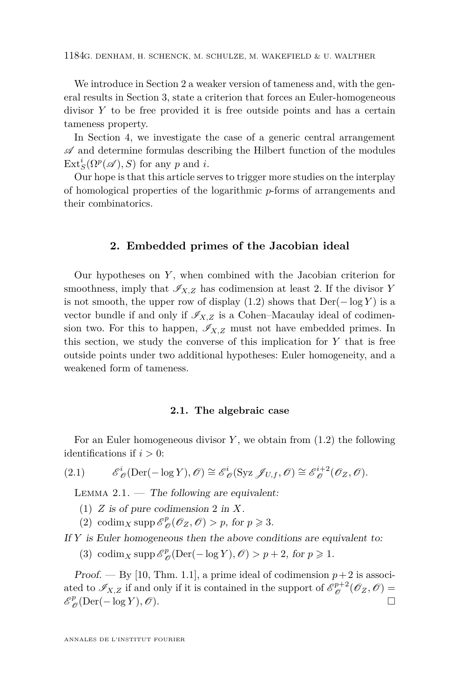<span id="page-8-0"></span>We introduce in Section 2 a weaker version of tameness and, with the general results in Section [3,](#page-14-0) state a criterion that forces an Euler-homogeneous divisor *Y* to be free provided it is free outside points and has a certain tameness property.

In Section [4,](#page-19-0) we investigate the case of a generic central arrangement  $\mathscr A$  and determine formulas describing the Hilbert function of the modules  $\text{Ext}_{S}^{i}(\Omega^{p}(\mathscr{A}), S)$  for any *p* and *i*.

Our hope is that this article serves to trigger more studies on the interplay of homological properties of the logarithmic *p*-forms of arrangements and their combinatorics.

#### **2. Embedded primes of the Jacobian ideal**

Our hypotheses on *Y* , when combined with the Jacobian criterion for smoothness, imply that  $\mathscr{I}_{X,Z}$  has codimension at least 2. If the divisor *Y* is not smooth, the upper row of display  $(1.2)$  shows that  $Der(-log Y)$  is a vector bundle if and only if  $\mathcal{I}_{X,Z}$  is a Cohen–Macaulay ideal of codimension two. For this to happen,  $\mathscr{I}_{X,Z}$  must not have embedded primes. In this section, we study the converse of this implication for *Y* that is free outside points under two additional hypotheses: Euler homogeneity, and a weakened form of tameness.

#### **2.1. The algebraic case**

For an Euler homogeneous divisor *Y* , we obtain from [\(1.2\)](#page-5-0) the following identifications if  $i > 0$ :

(2.1) 
$$
\mathscr{E}_{\mathscr{O}}^{i}(\mathrm{Der}(-\log Y), \mathscr{O}) \cong \mathscr{E}_{\mathscr{O}}^{i}(\mathrm{Syz}\,\mathscr{J}_{U,f}, \mathscr{O}) \cong \mathscr{E}_{\mathscr{O}}^{i+2}(\mathscr{O}_{Z}, \mathscr{O}).
$$

LEMMA  $2.1.$  — The following are equivalent:

- (1) *Z* is of pure codimension 2 in *X*.
- (2) codim<sub>*X*</sub> supp  $\mathscr{E}_{\ell}^{p}$  $_{\mathscr{O}}^{p}(\mathscr{O}_{Z}, \mathscr{O}) > p$ , for  $p \geqslant 3$ .

If *Y* is Euler homogeneous then the above conditions are equivalent to:

(3) codim<sub>*X*</sub> supp  $\mathscr{E}_{\ell}^{p}$  $\mathcal{O}_{\mathscr{O}}(Der(-\log Y), \mathscr{O}) > p+2$ , for  $p \geq 1$ .

Proof. — By [\[10,](#page-25-0) Thm. 1.1], a prime ideal of codimension  $p+2$  is associated to  $\mathscr{I}_{X,Z}$  if and only if it is contained in the support of  $\mathscr{E}_{\mathscr{O}}^{p+2}$  $\mathcal{O}_{\mathscr{O}}^{p+2}(\mathscr{O}_Z,\mathscr{O})=$  $\mathscr{E}_{\ell}^{p}$  $\mathcal{O}_{\mathscr{O}}(\text{Der}(-\log Y), \mathscr{O}).$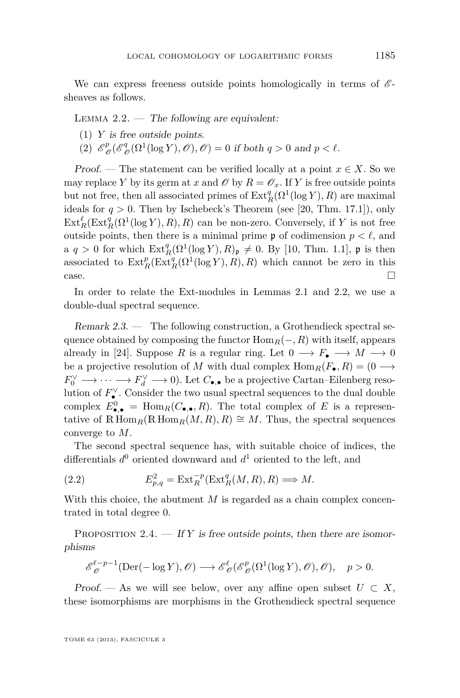<span id="page-9-0"></span>We can express freeness outside points homologically in terms of  $\mathscr{E}$ sheaves as follows.

LEMMA  $2.2.$  — The following are equivalent:

- (1) *Y* is free outside points.
- $(2)$   $\mathscr{E}_{\ell}^{p}$  $^p_{\mathscr{O}}(\mathscr{E}^q_{\ell})$  $\mathcal{O}_{\mathscr{O}}^q(\Omega^1(\log Y), \mathscr{O}), \mathscr{O}$  = 0 if both  $q > 0$  and  $p < \ell$ .

Proof. — The statement can be verified locally at a point  $x \in X$ . So we may replace *Y* by its germ at *x* and  $\mathcal{O}$  by  $R = \mathcal{O}_x$ . If *Y* is free outside points but not free, then all associated primes of  $\text{Ext}_{R}^{q}(\Omega^{1}(\log Y), R)$  are maximal ideals for  $q > 0$ . Then by Ischebeck's Theorem (see [\[20,](#page-26-0) Thm. 17.1]), only  $\text{Ext}_{R}^{\ell}(\text{Ext}_{R}^{q}(\Omega^{1}(\log Y), R), R)$  can be non-zero. Conversely, if *Y* is not free outside points, then there is a minimal prime  $\mathfrak p$  of codimension  $p < \ell$ , and a  $q > 0$  for which  $\text{Ext}_{R}^{q}(\Omega^{1}(\log Y), R)_{\mathfrak{p}} \neq 0$ . By [\[10,](#page-25-0) Thm. 1.1],  $\mathfrak{p}$  is then associated to  $\text{Ext}^p_R(\text{Ext}^q_R(\Omega^1(\log Y), R), R)$  which cannot be zero in this  $\Box$ 

In order to relate the Ext-modules in Lemmas [2.1](#page-8-0) and 2.2, we use a double-dual spectral sequence.

Remark 2.3. — The following construction, a Grothendieck spectral sequence obtained by composing the functor  $\text{Hom}_R(-, R)$  with itself, appears already in [\[24\]](#page-26-0). Suppose R is a regular ring. Let  $0 \longrightarrow F_{\bullet} \longrightarrow M \longrightarrow 0$ be a projective resolution of *M* with dual complex  $\text{Hom}_R(F_\bullet, R) = (0 \longrightarrow$  $F_0^{\vee} \longrightarrow \cdots \longrightarrow F_d^{\vee} \longrightarrow 0$ ). Let  $C_{\bullet,\bullet}$  be a projective Cartan–Eilenberg resolution of  $F_{\bullet}^{\vee}$ . Consider the two usual spectral sequences to the dual double complex  $E_{\bullet,\bullet}^0$  = Hom<sub>*R*</sub>( $C_{\bullet,\bullet}, R$ ). The total complex of *E* is a representative of  $\mathbb{R}$  Hom<sub>*R*</sub>( $\mathbb{R}$  Hom<sub>*R*</sub>( $M$ ,  $R$ ),  $\cong$  *M*. Thus, the spectral sequences converge to *M*.

The second spectral sequence has, with suitable choice of indices, the differentials *d* <sup>0</sup> oriented downward and *d* <sup>1</sup> oriented to the left, and

(2.2) 
$$
E_{p,q}^2 = \text{Ext}_R^{-p}(\text{Ext}_R^q(M,R),R) \Longrightarrow M.
$$

With this choice, the abutment *M* is regarded as a chain complex concentrated in total degree 0.

PROPOSITION 2.4.  $\overline{\phantom{a}}$  If Y is free outside points, then there are isomorphisms

$$
\mathscr{E}^{\ell-p-1}_{\mathscr{O}}(\mathrm{Der}(-\log Y),\mathscr{O})\longrightarrow\mathscr{E}^{\ell}_{\mathscr{O}}(\mathscr{E}^p_{\mathscr{O}}(\Omega^1(\log Y),\mathscr{O}),\ \ p>0.
$$

Proof. — As we will see below, over any affine open subset  $U \subset X$ , these isomorphisms are morphisms in the Grothendieck spectral sequence

TOME 63 (2013), FASCICULE 3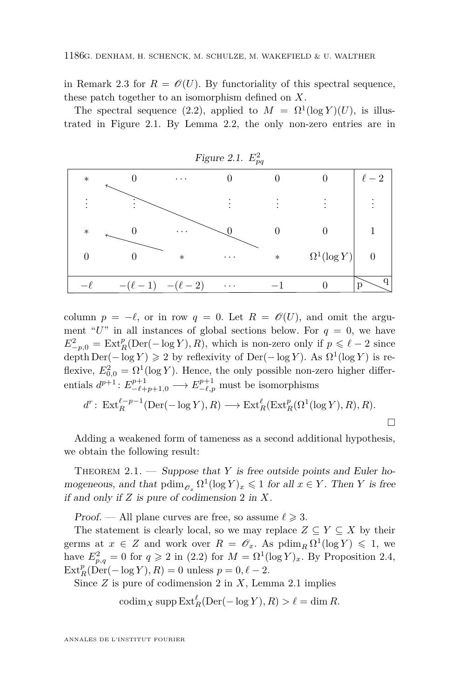<span id="page-10-0"></span>in Remark [2.3](#page-9-0) for  $R = \mathcal{O}(U)$ . By functoriality of this spectral sequence, these patch together to an isomorphism defined on *X*.

The spectral sequence [\(2.2\)](#page-9-0), applied to  $M = \Omega^1(\log Y)(U)$ , is illustrated in Figure 2.1. By Lemma [2.2,](#page-9-0) the only non-zero entries are in



column  $p = -\ell$ , or in row  $q = 0$ . Let  $R = \mathcal{O}(U)$ , and omit the argument " $U$ " in all instances of global sections below. For  $q = 0$ , we have  $E_{-p,0}^2 = \text{Ext}_{R}^p(\text{Der}(-\log Y), R)$ , which is non-zero only if  $p \leq \ell - 2$  since  $\operatorname{depth} \operatorname{Der}(-\log Y) \geq 2$  by reflexivity of  $\operatorname{Der}(-\log Y)$ . As  $\Omega^1(\log Y)$  is reflexive,  $E_{0,0}^2 = \Omega^1(\log Y)$ . Hence, the only possible non-zero higher differentials  $d^{p+1}: E^{p+1}_{-\ell+p+1,0} \longrightarrow E^{p+1}_{-\ell,p}$  must be isomorphisms

$$
d^r \colon \operatorname{Ext}_R^{\ell-p-1}(\operatorname{Der}(-\log Y), R) \longrightarrow \operatorname{Ext}_R^{\ell}(\operatorname{Ext}_R^p(\Omega^1(\log Y), R), R).
$$

Adding a weakened form of tameness as a second additional hypothesis, we obtain the following result:

THEOREM  $2.1.$  — Suppose that *Y* is free outside points and Euler homogeneous, and that  $\text{pdim}_{\mathscr{O}_x} \Omega^1(\log Y)_x \leq 1$  for all  $x \in Y$ . Then *Y* is free if and only if *Z* is pure of codimension 2 in *X*.

Proof. — All plane curves are free, so assume  $\ell \geq 3$ .

The statement is clearly local, so we may replace  $Z \subseteq Y \subseteq X$  by their germs at  $x \in Z$  and work over  $R = \mathscr{O}_x$ . As  $\text{pdim}_R \Omega^1(\log Y) \leq 1$ , we have  $E_{p,q}^2 = 0$  for  $q \geq 2$  in [\(2.2\)](#page-9-0) for  $M = \Omega^1(\log Y)_x$ . By Proposition [2.4,](#page-9-0)  $\text{Ext}_{R}^{p}(\text{Der}(-\log Y), R) = 0$  unless  $p = 0, \ell - 2$ .

Since *Z* is pure of codimension 2 in *X*, Lemma [2.1](#page-8-0) implies

$$
\operatorname{codim}_X \operatorname{supp} \operatorname{Ext}^{\ell}_R(\operatorname{Der}(-\log Y), R) > \ell = \dim R.
$$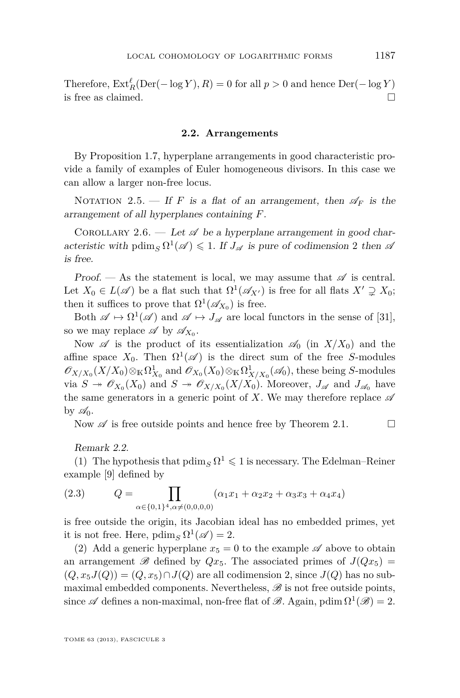<span id="page-11-0"></span>Therefore,  $\text{Ext}_{R}^{\ell}(\text{Der}(- \log Y), R) = 0$  for all  $p > 0$  and hence  $\text{Der}(- \log Y)$ is free as claimed.  $\Box$ 

#### **2.2. Arrangements**

By Proposition [1.7,](#page-7-0) hyperplane arrangements in good characteristic provide a family of examples of Euler homogeneous divisors. In this case we can allow a larger non-free locus.

NOTATION 2.5. — If *F* is a flat of an arrangement, then  $\mathscr{A}_F$  is the arrangement of all hyperplanes containing *F*.

COROLLARY 2.6. — Let  $\mathscr A$  be a hyperplane arrangement in good characteristic with  $\text{pdim}_S \Omega^1(\mathscr{A}) \leq 1$ . If  $J_{\mathscr{A}}$  is pure of codimension 2 then  $\mathscr{A}$ is free.

Proof. — As the statement is local, we may assume that  $\mathscr A$  is central. Let  $X_0 \in L(\mathscr{A})$  be a flat such that  $\Omega^1(\mathscr{A}_{X'})$  is free for all flats  $X' \supsetneq X_0$ ; then it suffices to prove that  $\Omega^1(\mathscr{A}_{X_0})$  is free.

Both  $\mathscr{A} \mapsto \Omega^1(\mathscr{A})$  and  $\mathscr{A} \mapsto J_{\mathscr{A}}$  are local functors in the sense of [\[31\]](#page-26-0), so we may replace  $\mathscr A$  by  $\mathscr A_{X_0}$ .

Now  $\mathscr A$  is the product of its essentialization  $\mathscr A_0$  (in  $X/X_0$ ) and the affine space  $X_0$ . Then  $\Omega^1(\mathscr{A})$  is the direct sum of the free *S*-modules  $\mathscr{O}_{X/X_0}(X/X_0)\otimes_{\mathbb{K}}\Omega^1_{X_0}$  and  $\mathscr{O}_{X_0}(X_0)\otimes_{\mathbb{K}}\Omega^1_{X/X_0}(\mathscr{A}_0)$ , these being *S*-modules via  $S \to \mathscr{O}_{X_0}(X_0)$  and  $S \to \mathscr{O}_{X/X_0}(X/X_0)$ . Moreover,  $J_{\mathscr{A}}$  and  $J_{\mathscr{A}_0}$  have the same generators in a generic point of X. We may therefore replace  $\mathscr A$ by  $\mathscr{A}_0$ .

Now  $\mathscr A$  is free outside points and hence free by Theorem [2.1.](#page-10-0)

#### Remark 2.2.

(1) The hypothesis that  $\operatorname{pdim}_S\Omega^1\leqslant 1$  is necessary. The Edelman–Reiner example [\[9\]](#page-25-0) defined by

(2.3) 
$$
Q = \prod_{\alpha \in \{0,1\}^4, \alpha \neq (0,0,0,0)} (\alpha_1 x_1 + \alpha_2 x_2 + \alpha_3 x_3 + \alpha_4 x_4)
$$

is free outside the origin, its Jacobian ideal has no embedded primes, yet it is not free. Here,  $\operatorname{pdim}_S \Omega^1(\mathscr{A}) = 2$ .

(2) Add a generic hyperplane  $x_5 = 0$  to the example  $\mathscr A$  above to obtain an arrangement  $\mathscr{B}$  defined by  $Qx_5$ . The associated primes of  $J(Qx_5)$  =  $(Q, x_5 J(Q)) = (Q, x_5) \cap J(Q)$  are all codimension 2, since  $J(Q)$  has no submaximal embedded components. Nevertheless,  $\mathscr B$  is not free outside points, since  $\mathscr A$  defines a non-maximal, non-free flat of  $\mathscr B$ . Again, pdim  $\Omega^1(\mathscr B)=2$ .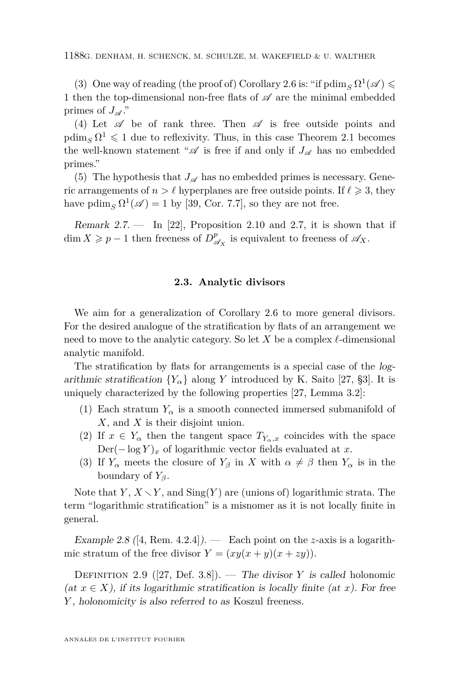(3) One way of reading (the proof of) Corollary [2.6](#page-11-0) is: "if  $\operatorname{pdim}_S \Omega^1(\mathscr{A})$ 1 then the top-dimensional non-free flats of  $\mathscr A$  are the minimal embedded primes of  $J_{\mathscr{A}}$ ."

(4) Let  $\mathscr A$  be of rank three. Then  $\mathscr A$  is free outside points and  $\operatorname{pdim}_S \Omega^1 \leq 1$  due to reflexivity. Thus, in this case Theorem [2.1](#page-10-0) becomes the well-known statement " $\mathscr A$  is free if and only if  $J_{\mathscr A}$  has no embedded primes."

(5) The hypothesis that  $J_{\mathscr{A}}$  has no embedded primes is necessary. Generic arrangements of  $n > \ell$  hyperplanes are free outside points. If  $\ell \geq 3$ , they have  $\operatorname{pdim}_S \Omega^1(\mathscr{A}) = 1$  by [\[39,](#page-27-0) Cor. 7.7], so they are not free.

Remark  $2.7.$  — In [\[22\]](#page-26-0), Proposition 2.10 and 2.7, it is shown that if  $\dim X \geqslant p-1$  then freeness of  $D^p_{\varphi}$  $\mathcal{A}_{\mathcal{A}_X}^p$  is equivalent to freeness of  $\mathcal{A}_X$ .

#### **2.3. Analytic divisors**

We aim for a generalization of Corollary [2.6](#page-11-0) to more general divisors. For the desired analogue of the stratification by flats of an arrangement we need to move to the analytic category. So let  $X$  be a complex  $\ell$ -dimensional analytic manifold.

The stratification by flats for arrangements is a special case of the logarithmic stratification  ${Y_\alpha}$  along *Y* introduced by K. Saito [\[27,](#page-26-0) §3]. It is uniquely characterized by the following properties [\[27,](#page-26-0) Lemma 3.2]:

- (1) Each stratum  $Y_\alpha$  is a smooth connected immersed submanifold of *X*, and *X* is their disjoint union.
- (2) If  $x \in Y_\alpha$  then the tangent space  $T_{Y_\alpha,x}$  coincides with the space  $Der(-\log Y)_x$  of logarithmic vector fields evaluated at *x*.
- (3) If  $Y_\alpha$  meets the closure of  $Y_\beta$  in X with  $\alpha \neq \beta$  then  $Y_\alpha$  is in the boundary of *Yβ*.

Note that *Y*,  $X \setminus Y$ , and  $\text{Sing}(Y)$  are (unions of) logarithmic strata. The term "logarithmic stratification" is a misnomer as it is not locally finite in general.

Example 2.8 ([\[4,](#page-25-0) Rem. 4.2.4]). — Each point on the *z*-axis is a logarithmic stratum of the free divisor  $Y = (xy(x + y)(x + zy))$ .

Definition 2.9 ([\[27,](#page-26-0) Def. 3.8]). — The divisor *Y* is called holonomic (at  $x \in X$ ), if its logarithmic stratification is locally finite (at x). For free *Y* , holonomicity is also referred to as Koszul freeness.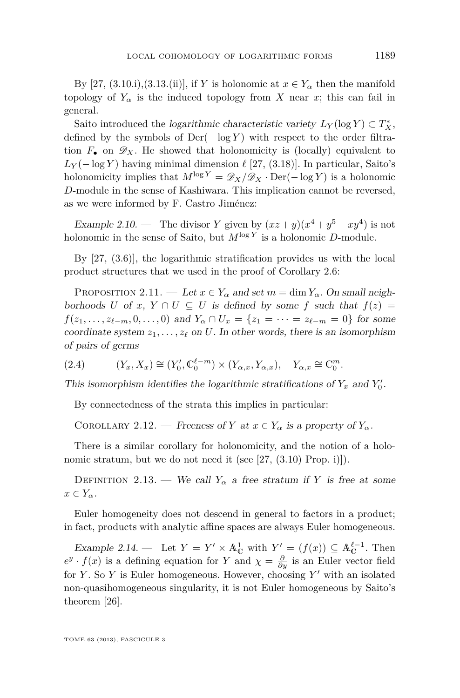<span id="page-13-0"></span>By [\[27,](#page-26-0) (3.10.i),(3.13.(ii)], if *Y* is holonomic at  $x \in Y_\alpha$  then the manifold topology of  $Y_\alpha$  is the induced topology from *X* near *x*; this can fail in general.

Saito introduced the logarithmic characteristic variety  $L_Y(\log Y) \subset T_X^*$ , defined by the symbols of  $Der(-\log Y)$  with respect to the order filtration  $F_{\bullet}$  on  $\mathscr{D}_X$ . He showed that holonomicity is (locally) equivalent to  $L_Y(-\log Y)$  having minimal dimension  $\ell$  [\[27,](#page-26-0) (3.18)]. In particular, Saito's holonomicity implies that  $M^{\log Y} = \mathscr{D}_X/\mathscr{D}_X \cdot \mathrm{Der}(-\log Y)$  is a holonomic *D*-module in the sense of Kashiwara. This implication cannot be reversed, as we were informed by F. Castro Jiménez:

Example 2.10. — The divisor *Y* given by  $(xz+y)(x^4+y^5+xy^4)$  is not holonomic in the sense of Saito, but  $M^{\log Y}$  is a holonomic *D*-module.

By [\[27,](#page-26-0) (3.6)], the logarithmic stratification provides us with the local product structures that we used in the proof of Corollary [2.6:](#page-11-0)

PROPOSITION 2.11. — Let  $x \in Y_\alpha$  and set  $m = \dim Y_\alpha$ . On small neighborhoods *U* of *x*,  $Y \cap U \subseteq U$  is defined by some *f* such that  $f(z) =$ *f*(*z*<sub>1</sub>*, . . . , z*<sub>*l*</sub>−*m*, 0*, . . .* , 0) and  $Y_\alpha \cap U_x = \{z_1 = \cdots = z_{\ell-m} = 0\}$  for some coordinate system  $z_1, \ldots, z_\ell$  on *U*. In other words, there is an isomorphism of pairs of germs

(2.4) 
$$
(Y_x, X_x) \cong (Y'_0, \mathbb{C}_0^{\ell-m}) \times (Y_{\alpha,x}, Y_{\alpha,x}), \quad Y_{\alpha,x} \cong \mathbb{C}_0^m.
$$

This isomorphism identifies the logarithmic stratifications of  $Y_x$  and  $Y'_0$ .

By connectedness of the strata this implies in particular:

COROLLARY 2.12. — Freeness of *Y* at  $x \in Y_\alpha$  is a property of  $Y_\alpha$ .

There is a similar corollary for holonomicity, and the notion of a holo-nomic stratum, but we do not need it (see [\[27,](#page-26-0) (3.10) Prop. i)]).

DEFINITION 2.13. — We call  $Y_\alpha$  a free stratum if *Y* is free at some  $x \in Y_\alpha$ .

Euler homogeneity does not descend in general to factors in a product; in fact, products with analytic affine spaces are always Euler homogeneous.

Example 2.14. — Let  $Y = Y' \times \mathbb{A}_{\mathbb{C}}^1$  with  $Y' = (f(x)) \subseteq \mathbb{A}_{\mathbb{C}}^{\ell-1}$ . Then  $e^y \cdot f(x)$  is a defining equation for *Y* and  $\chi = \frac{\partial}{\partial y}$  is an Euler vector field for *Y*. So *Y* is Euler homogeneous. However, choosing  $Y'$  with an isolated non-quasihomogeneous singularity, it is not Euler homogeneous by Saito's theorem [\[26\]](#page-26-0).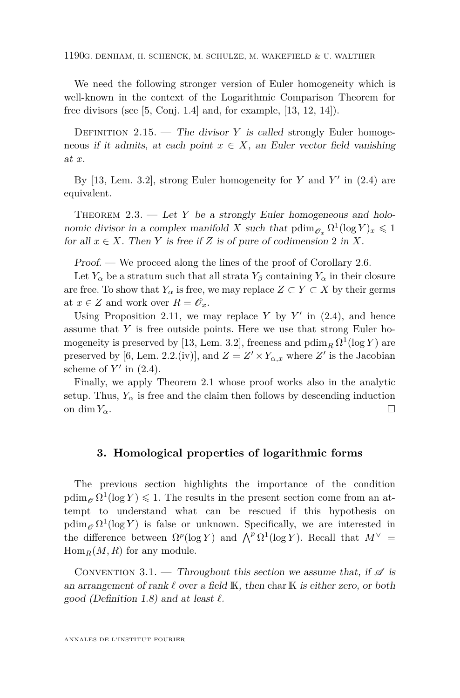<span id="page-14-0"></span>1190G. DENHAM, H. SCHENCK, M. SCHULZE, M. WAKEFIELD & U. WALTHER

We need the following stronger version of Euler homogeneity which is well-known in the context of the Logarithmic Comparison Theorem for free divisors (see [\[5,](#page-25-0) Conj. 1.4] and, for example, [\[13,](#page-25-0) [12,](#page-25-0) [14\]](#page-25-0)).

DEFINITION 2.15. — The divisor *Y* is called strongly Euler homogeneous if it admits, at each point  $x \in X$ , an Euler vector field vanishing at *x*.

By  $[13, \text{ Lem. } 3.2]$  $[13, \text{ Lem. } 3.2]$ , strong Euler homogeneity for *Y* and *Y'* in  $(2.4)$  are equivalent.

THEOREM 2.3. — Let Y be a strongly Euler homogeneous and holonomic divisor in a complex manifold *X* such that  $\text{pdim}_{\mathscr{O}_x} \Omega^1(\log Y)_x \leq 1$ for all  $x \in X$ . Then *Y* is free if *Z* is of pure of codimension 2 in *X*.

Proof. — We proceed along the lines of the proof of Corollary [2.6.](#page-11-0)

Let  $Y_\alpha$  be a stratum such that all strata  $Y_\beta$  containing  $Y_\alpha$  in their closure are free. To show that  $Y_\alpha$  is free, we may replace  $Z \subset Y \subset X$  by their germs at  $x \in Z$  and work over  $R = \mathscr{O}_x$ .

Using Proposition [2.11,](#page-13-0) we may replace  $Y$  by  $Y'$  in [\(2.4\)](#page-13-0), and hence assume that *Y* is free outside points. Here we use that strong Euler ho-mogeneity is preserved by [\[13,](#page-25-0) Lem. 3.2], freeness and  $\operatorname{pdim}_R \Omega^1(\log Y)$  are preserved by [\[6,](#page-25-0) Lem. 2.2.(iv)], and  $Z = Z' \times Y_{\alpha,x}$  where  $Z'$  is the Jacobian scheme of  $Y'$  in  $(2.4)$ .

Finally, we apply Theorem [2.1](#page-10-0) whose proof works also in the analytic setup. Thus,  $Y_\alpha$  is free and the claim then follows by descending induction on dim  $Y_\alpha$ .

#### **3. Homological properties of logarithmic forms**

The previous section highlights the importance of the condition  $\operatorname{pdim}_{\mathscr{O}} \Omega^1(\log Y) \leq 1$ . The results in the present section come from an attempt to understand what can be rescued if this hypothesis on  $\operatorname{pdim}_{\mathscr{O}} \Omega^1(\log Y)$  is false or unknown. Specifically, we are interested in the difference between  $\Omega^p(\log Y)$  and  $\bigwedge^p \Omega^1(\log Y)$ . Recall that  $M^{\vee}$  $Hom_R(M, R)$  for any module.

CONVENTION 3.1. — Throughout this section we assume that, if  $\mathscr A$  is an arrangement of rank  $\ell$  over a field K, then char K is either zero, or both good (Definition [1.8\)](#page-7-0) and at least  $\ell$ .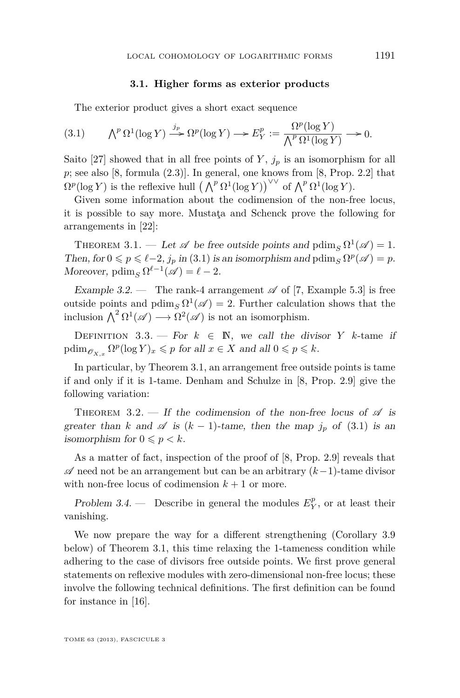#### **3.1. Higher forms as exterior products**

The exterior product gives a short exact sequence

(3.1) 
$$
\bigwedge^p \Omega^1(\log Y) \xrightarrow{j_p} \Omega^p(\log Y) \longrightarrow E_Y^p := \frac{\Omega^p(\log Y)}{\bigwedge^p \Omega^1(\log Y)} \longrightarrow 0.
$$

Saito [\[27\]](#page-26-0) showed that in all free points of  $Y$ ,  $j_p$  is an isomorphism for all  $p$ ; see also [\[8,](#page-25-0) formula  $(2.3)$ ]. In general, one knows from [8, Prop. 2.2] that  $\Omega^p(\log Y)$  is the reflexive hull  $(\bigwedge^p \Omega^1(\log Y))^{\vee \vee}$  of  $\bigwedge^p \Omega^1(\log Y)$ .

Given some information about the codimension of the non-free locus, it is possible to say more. Mustaţa and Schenck prove the following for arrangements in [\[22\]](#page-26-0):

THEOREM 3.1. — Let  $\mathscr A$  be free outside points and  $\operatorname{pdim}_S \Omega^1(\mathscr A) = 1$ . Then, for  $0 \leq p \leq \ell - 2$ ,  $j_p$  in (3.1) is an isomorphism and pdim<sub>S</sub>  $\Omega^p(\mathscr{A}) = p$ . Moreover,  $\operatorname{pdim}_S \Omega^{\ell-1}(\mathscr{A}) = \ell - 2$ .

Example 3.2. — The rank-4 arrangement  $\mathscr A$  of [\[7,](#page-25-0) Example 5.3] is free outside points and  $\operatorname{pdim}_S \Omega^1(\mathscr{A}) = 2$ . Further calculation shows that the inclusion  $\bigwedge^2 \Omega^1(\mathscr{A}) \longrightarrow \Omega^2(\mathscr{A})$  is not an isomorphism.

DEFINITION 3.3. — For  $k \in \mathbb{N}$ , we call the divisor *Y* k-tame if  $\text{pdim}_{\mathscr{O}_{X,x}} \Omega^p(\log Y)_x \leqslant p \text{ for all } x \in X \text{ and all } 0 \leqslant p \leqslant k.$ 

In particular, by Theorem 3.1, an arrangement free outside points is tame if and only if it is 1-tame. Denham and Schulze in [\[8,](#page-25-0) Prop. 2.9] give the following variation:

THEOREM 3.2. — If the codimension of the non-free locus of  $\mathscr A$  is greater than *k* and  $\mathscr A$  is  $(k-1)$ -tame, then the map  $j_p$  of  $(3.1)$  is an isomorphism for  $0 \leqslant p < k$ .

As a matter of fact, inspection of the proof of [\[8,](#page-25-0) Prop. 2.9] reveals that A need not be an arrangement but can be an arbitrary (*k*−1)-tame divisor with non-free locus of codimension  $k + 1$  or more.

Problem 3.4. — Describe in general the modules  $E_Y^p$ , or at least their vanishing.

We now prepare the way for a different strengthening (Corollary [3.9](#page-18-0) below) of Theorem 3.1, this time relaxing the 1-tameness condition while adhering to the case of divisors free outside points. We first prove general statements on reflexive modules with zero-dimensional non-free locus; these involve the following technical definitions. The first definition can be found for instance in [\[16\]](#page-26-0).

TOME 63 (2013), FASCICULE 3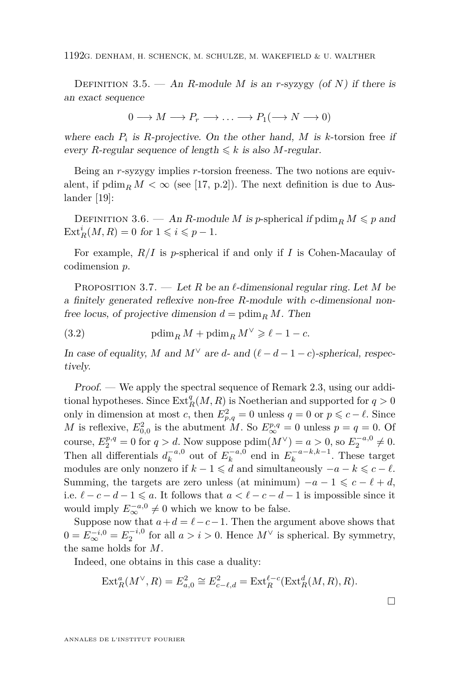1192G. DENHAM, H. SCHENCK, M. SCHULZE, M. WAKEFIELD & U. WALTHER

DEFINITION 3.5. — An *R*-module *M* is an *r*-syzygy (of *N*) if there is an exact sequence

$$
0 \longrightarrow M \longrightarrow P_r \longrightarrow \dots \longrightarrow P_1(\longrightarrow N \longrightarrow 0)
$$

where each  $P_i$  is  $R$ -projective. On the other hand,  $M$  is  $k$ -torsion free if every *R*-regular sequence of length  $\leq k$  is also *M*-regular.

Being an *r*-syzygy implies *r*-torsion freeness. The two notions are equivalent, if  $\operatorname{pdim}_R M < \infty$  (see [\[17,](#page-26-0) p.2]). The next definition is due to Auslander [\[19\]](#page-26-0):

DEFINITION 3.6. — An *R*-module *M* is *p*-spherical if  $\text{pdim}_R M \leqslant p$  and  $\text{Ext}_{R}^{i}(M, R) = 0$  for  $1 \leqslant i \leqslant p - 1$ .

For example, *R/I* is *p*-spherical if and only if *I* is Cohen-Macaulay of codimension *p*.

PROPOSITION 3.7. — Let R be an  $\ell$ -dimensional regular ring. Let M be a finitely generated reflexive non-free *R*-module with *c*-dimensional nonfree locus, of projective dimension  $d = \text{pdim}_R M$ . Then

(3.2) pdim<sub>*R*</sub>  $M + \text{pdim}_R M^{\vee} \geq \ell - 1 - c$ .

In case of equality, *M* and  $M^{\vee}$  are *d*- and  $(\ell - d - 1 - c)$ -spherical, respectively.

Proof. — We apply the spectral sequence of Remark [2.3,](#page-9-0) using our additional hypotheses. Since  $\text{Ext}_{R}^{q}(M, R)$  is Noetherian and supported for  $q > 0$ only in dimension at most *c*, then  $E_{p,q}^2 = 0$  unless  $q = 0$  or  $p \leq c - \ell$ . Since *M* is reflexive,  $E_{0,0}^2$  is the abutment *M*. So  $E_{\infty}^{p,q} = 0$  unless  $p = q = 0$ . Of course,  $E_2^{p,q} = 0$  for  $q > d$ . Now suppose  $\text{pdim}(M^{\vee}) = a > 0$ , so  $E_2^{-a,0} \neq 0$ . Then all differentials  $d_k^{-a,0}$  out of  $E_k^{-a,0}$  end in  $E_k^{-a-k,k-1}$ . These target modules are only nonzero if  $k - 1 \le d$  and simultaneously  $-a - k \le c - \ell$ . Summing, the targets are zero unless (at minimum)  $-a-1 \leqslant c-\ell+d$ , i.e.  $\ell - c - d - 1 \leqslant a.$  It follows that  $a < \ell - c - d - 1$  is impossible since it would imply  $E^{-a,0}_{\infty} \neq 0$  which we know to be false.

Suppose now that  $a + d = \ell - c - 1$ . Then the argument above shows that  $0 = E_{\infty}^{-i,0} = E_2^{-i,0}$  for all  $a > i > 0$ . Hence  $M^{\vee}$  is spherical. By symmetry, the same holds for *M*.

Indeed, one obtains in this case a duality:

$$
\operatorname{Ext}^a_R(M^\vee, R) = E^2_{a,0} \cong E^2_{c-\ell,d} = \operatorname{Ext}^{\ell-c}_R(\operatorname{Ext}^d_R(M,R), R).
$$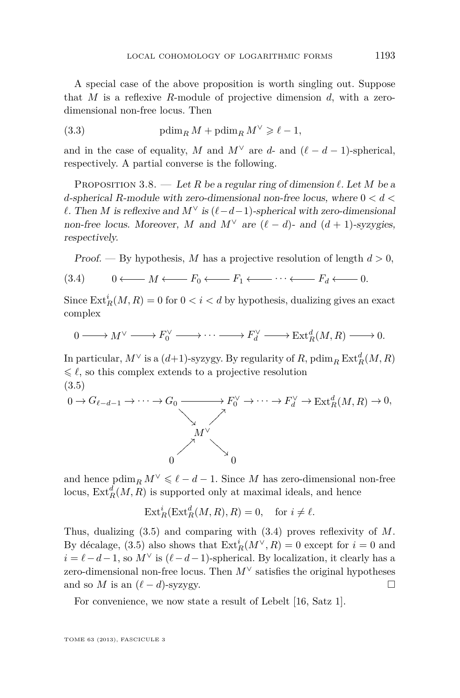<span id="page-17-0"></span>A special case of the above proposition is worth singling out. Suppose that *M* is a reflexive *R*-module of projective dimension *d*, with a zerodimensional non-free locus. Then

(3.3) 
$$
\text{pdim}_R M + \text{pdim}_R M^{\vee} \geqslant \ell - 1,
$$

and in the case of equality, *M* and  $M^{\vee}$  are *d*- and  $(\ell - d - 1)$ -spherical, respectively. A partial converse is the following.

PROPOSITION 3.8. — Let R be a regular ring of dimension  $\ell$ . Let M be a *d*-spherical *R*-module with zero-dimensional non-free locus, where 0 *< d < l*. Then *M* is reflexive and *M*<sup>∨</sup> is  $(ℓ − d − 1)$ -spherical with zero-dimensional non-free locus. Moreover, *M* and  $M^{\vee}$  are  $(\ell - d)$ - and  $(d + 1)$ -syzygies, respectively.

Proof. — By hypothesis, M has a projective resolution of length 
$$
d > 0
$$
,

$$
(3.4) \qquad 0 \longleftarrow M \longleftarrow F_0 \longleftarrow F_1 \longleftarrow \cdots \longleftarrow F_d \longleftarrow 0.
$$

Since  $\text{Ext}^i_R(M, R) = 0$  for  $0 < i < d$  by hypothesis, dualizing gives an exact complex

$$
0 \longrightarrow M^{\vee} \longrightarrow F_0^{\vee} \longrightarrow \cdots \longrightarrow F_d^{\vee} \longrightarrow \text{Ext}^d_R(M,R) \longrightarrow 0.
$$

In particular,  $M^{\vee}$  is a  $(d+1)$ -syzygy. By regularity of  $R$ ,  $\text{pdim}_{R} \operatorname{Ext}^{d}_{R}(M,R)$  $\leq \ell$ , so this complex extends to a projective resolution (3.5)

$$
0 \to G_{\ell-d-1} \to \cdots \to G_0 \xrightarrow{\qquad \qquad} F_0^{\vee} \to \cdots \to F_d^{\vee} \to \operatorname{Ext}_R^d(M,R) \to 0,
$$
\n
$$
M^{\vee}
$$
\n
$$
0
$$

and hence  $\text{pdim}_R M^\vee \leq \ell - d - 1$ . Since *M* has zero-dimensional non-free locus,  $\text{Ext}_{R}^{d}(M, R)$  is supported only at maximal ideals, and hence

$$
\operatorname{Ext}^i_R(\operatorname{Ext}^d_R(M,R),R) = 0, \quad \text{for } i \neq \ell.
$$

Thus, dualizing (3.5) and comparing with (3.4) proves reflexivity of *M*. By décalage, (3.5) also shows that  $\text{Ext}^i_R(M^{\vee}, R) = 0$  except for  $i = 0$  and  $i = \ell - d - 1$ , so  $M^{\vee}$  is  $(\ell - d - 1)$ -spherical. By localization, it clearly has a zero-dimensional non-free locus. Then *M*<sup>∨</sup> satisfies the original hypotheses and so *M* is an  $(\ell - d)$ -syzygy.

For convenience, we now state a result of Lebelt [\[16,](#page-26-0) Satz 1].

TOME 63 (2013), FASCICULE 3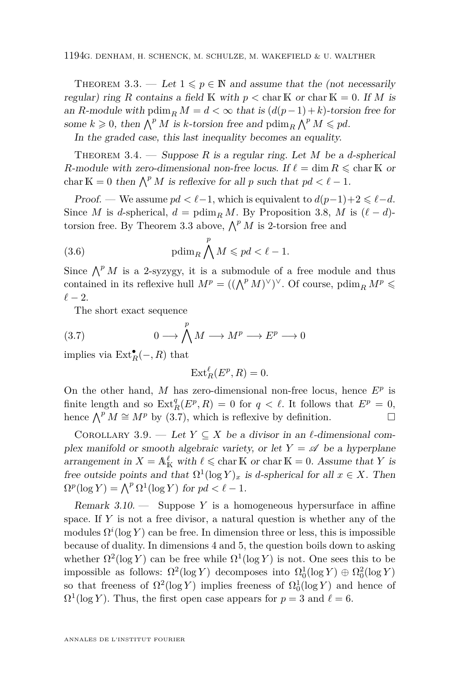<span id="page-18-0"></span>THEOREM 3.3. — Let  $1 \leqslant p \in \mathbb{N}$  and assume that the (not necessarily regular) ring *R* contains a field K with  $p < \text{char } K$  or  $\text{char } K = 0$ . If *M* is an *R*-module with pdim<sub>*R*</sub>  $M = d < \infty$  that is  $(d(p-1) + k)$ -torsion free for some  $k \geq 0$ , then  $\bigwedge^p M$  is *k*-torsion free and  $\text{pdim}_R \bigwedge^p M \leqslant pd$ .

In the graded case, this last inequality becomes an equality.

THEOREM 3.4. — Suppose R is a regular ring. Let M be a *d*-spherical *R*-module with zero-dimensional non-free locus. If  $\ell = \dim R \le \text{char } K$  or char  $K = 0$  then  $\bigwedge^p M$  is reflexive for all p such that  $pd < \ell - 1$ .

Proof. — We assume  $pd < \ell-1$ , which is equivalent to  $d(p-1)+2 \leq \ell-d$ . Since *M* is *d*-spherical,  $d = \text{pdim}_R M$ . By Proposition [3.8,](#page-17-0) *M* is  $(\ell - d)$ torsion free. By Theorem 3.3 above,  $\bigwedge^p M$  is 2-torsion free and

(3.6) 
$$
\text{pdim}_R \bigwedge^p M \leqslant pd < \ell - 1.
$$

Since  $\bigwedge^p M$  is a 2-syzygy, it is a submodule of a free module and thus contained in its reflexive hull  $M^p = ((\bigwedge^p M)^{\vee})^{\vee}$ . Of course,  $\text{pdim}_R M^p \leq$  $\ell - 2$ .

The short exact sequence

(3.7) 
$$
0 \longrightarrow \bigwedge^p M \longrightarrow M^p \longrightarrow E^p \longrightarrow 0
$$

implies via  $\text{Ext}^{\bullet}_R(-, R)$  that

$$
\operatorname{Ext}^{\ell}_R(E^p, R) = 0.
$$

On the other hand,  $M$  has zero-dimensional non-free locus, hence  $E^p$  is finite length and so  $\text{Ext}^q_R(E^p, R) = 0$  for  $q < \ell$ . It follows that  $E^p = 0$ , hence  $\bigwedge^p M \cong M^p$  by (3.7), which is reflexive by definition.

COROLLARY 3.9. — Let  $Y \subseteq X$  be a divisor in an  $\ell$ -dimensional complex manifold or smooth algebraic variety, or let  $Y = \mathscr{A}$  be a hyperplane arrangement in  $X = \mathbb{A}^{\ell}_{\mathbb{K}}$  with  $\ell \leq \text{char}\,\mathbb{K}$  or  $\text{char}\,\mathbb{K} = 0$ . Assume that Y is free outside points and that  $\Omega^1(\log Y)_x$  is *d*-spherical for all  $x \in X$ . Then  $\Omega^p(\log Y) = \bigwedge^p \Omega^1(\log Y)$  for  $pd < \ell - 1$ .

Remark 3.10. — Suppose *Y* is a homogeneous hypersurface in affine space. If *Y* is not a free divisor, a natural question is whether any of the modules  $\Omega^i(\log Y)$  can be free. In dimension three or less, this is impossible because of duality. In dimensions 4 and 5, the question boils down to asking whether  $\Omega^2(\log Y)$  can be free while  $\Omega^1(\log Y)$  is not. One sees this to be impossible as follows:  $\Omega^2(\log Y)$  decomposes into  $\Omega_0^1(\log Y) \oplus \Omega_0^2(\log Y)$ so that freeness of  $\Omega^2(\log Y)$  implies freeness of  $\Omega_0^1(\log Y)$  and hence of  $\Omega^1(\log Y)$ . Thus, the first open case appears for  $p = 3$  and  $\ell = 6$ .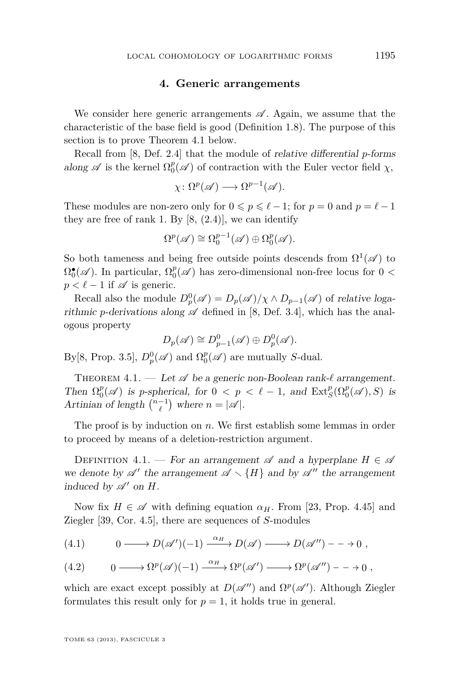#### **4. Generic arrangements**

<span id="page-19-0"></span>We consider here generic arrangements  $\mathscr A$ . Again, we assume that the characteristic of the base field is good (Definition [1.8\)](#page-7-0). The purpose of this section is to prove Theorem 4.1 below.

Recall from [\[8,](#page-25-0) Def. 2.4] that the module of relative differential *p*-forms along  $\mathscr A$  is the kernel  $\Omega_0^p(\mathscr A)$  of contraction with the Euler vector field  $\chi$ ,

$$
\chi\colon \Omega^p(\mathscr{A}) \longrightarrow \Omega^{p-1}(\mathscr{A}).
$$

These modules are non-zero only for  $0 \leq p \leq \ell - 1$ ; for  $p = 0$  and  $p = \ell - 1$ they are free of rank 1. By  $[8, (2.4)]$  $[8, (2.4)]$ , we can identify

$$
\Omega^p(\mathscr{A}) \cong \Omega_0^{p-1}(\mathscr{A}) \oplus \Omega_0^p(\mathscr{A}).
$$

So both tameness and being free outside points descends from  $\Omega^1(\mathscr{A})$  to  $\Omega_0^{\bullet}(\mathscr{A})$ . In particular,  $\Omega_0^p(\mathscr{A})$  has zero-dimensional non-free locus for  $0 < \infty$  $p < \ell - 1$  if  $\mathscr A$  is generic.

Recall also the module  $D_p^0(\mathscr{A}) = D_p(\mathscr{A})/\chi \wedge D_{p-1}(\mathscr{A})$  of relative logarithmic *p*-derivations along  $\mathscr A$  defined in [\[8,](#page-25-0) Def. 3.4], which has the analogous property

$$
D_p(\mathscr{A}) \cong D_{p-1}^0(\mathscr{A}) \oplus D_p^0(\mathscr{A}).
$$

By[\[8,](#page-25-0) Prop. 3.5],  $D_p^0(\mathscr{A})$  and  $\Omega_0^p(\mathscr{A})$  are mutually *S*-dual.

THEOREM  $4.1.$  — Let  $\mathscr A$  be a generic non-Boolean rank- $\ell$  arrangement. Then  $\Omega_0^p(\mathscr{A})$  is *p*-spherical, for  $0 < p < \ell - 1$ , and  $\text{Ext}_S^p(\Omega_0^p(\mathscr{A}), S)$  is Artinian of length  $\binom{n-1}{\ell}$  where  $n = |\mathscr{A}|$ .

The proof is by induction on *n*. We first establish some lemmas in order to proceed by means of a deletion-restriction argument.

DEFINITION 4.1. — For an arrangement  $\mathscr A$  and a hyperplane  $H \in \mathscr A$ we denote by  $\mathscr{A}'$  the arrangement  $\mathscr{A} \setminus \{H\}$  and by  $\mathscr{A}''$  the arrangement induced by  $\mathscr{A}'$  on  $H$ .

Now fix  $H \in \mathscr{A}$  with defining equation  $\alpha_H$ . From [\[23,](#page-26-0) Prop. 4.45] and Ziegler [\[39,](#page-27-0) Cor. 4.5], there are sequences of *S*-modules

(4.1) 
$$
0 \longrightarrow D(\mathscr{A})(-1) \xrightarrow{\alpha_H} D(\mathscr{A}) \longrightarrow D(\mathscr{A}) \longrightarrow 0,
$$

(4.2) 
$$
0 \longrightarrow \Omega^p(\mathscr{A})(-1) \xrightarrow{\alpha_H} \Omega^p(\mathscr{A}') \longrightarrow \Omega^p(\mathscr{A}'') - \longrightarrow 0,
$$

which are exact except possibly at  $D(\mathscr{A}'')$  and  $\Omega^p(\mathscr{A}')$ . Although Ziegler formulates this result only for  $p = 1$ , it holds true in general.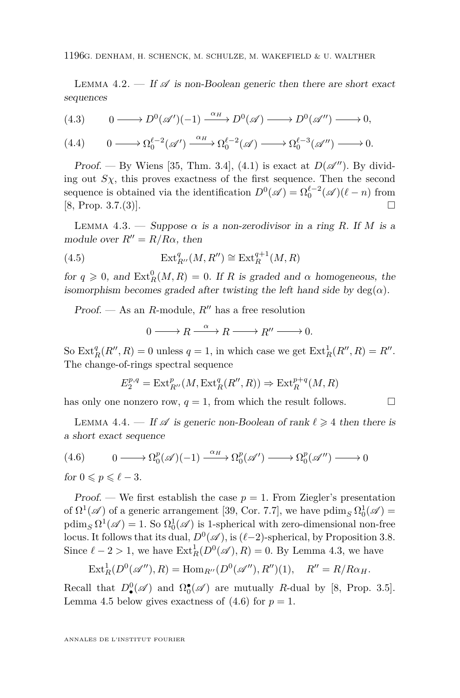<span id="page-20-0"></span>1196G. DENHAM, H. SCHENCK, M. SCHULZE, M. WAKEFIELD & U. WALTHER

LEMMA 4.2. — If  $\mathscr A$  is non-Boolean generic then there are short exact sequences

(4.3) 
$$
0 \longrightarrow D^{0}(\mathscr{A})(-1) \xrightarrow{\alpha_{H}} D^{0}(\mathscr{A}) \longrightarrow D^{0}(\mathscr{A}) \longrightarrow 0,
$$

(4.4)  $0 \longrightarrow \Omega_0^{\ell-2}(\mathscr{A}') \xrightarrow{\alpha_H} \Omega_0^{\ell-2}(\mathscr{A}) \longrightarrow \Omega_0^{\ell-3}(\mathscr{A}'') \longrightarrow 0.$ 

Proof. — By Wiens [\[35,](#page-26-0) Thm. 3.4], [\(4.1\)](#page-19-0) is exact at  $D(\mathscr{A}'')$ . By dividing out  $S_\chi$ , this proves exactness of the first sequence. Then the second sequence is obtained via the identification  $D^0(\mathscr{A}) = \Omega_0^{\ell-2}(\mathscr{A})(\ell - n)$  from  $[8, \text{Prop. } 3.7(3)].$  $[8, \text{Prop. } 3.7(3)].$ 

LEMMA 4.3. — Suppose  $\alpha$  is a non-zerodivisor in a ring R. If M is a module over  $R'' = R/R\alpha$ , then

(4.5) 
$$
\operatorname{Ext}^q_{R''}(M, R'') \cong \operatorname{Ext}^{q+1}_R(M, R)
$$

for  $q \ge 0$ , and  $\text{Ext}_{R}^{0}(M, R) = 0$ . If *R* is graded and  $\alpha$  homogeneous, the isomorphism becomes graded after twisting the left hand side by  $deg(\alpha)$ .

Proof. — As an *R*-module,  $R''$  has a free resolution

$$
0 \longrightarrow R \xrightarrow{\alpha} R \longrightarrow R'' \longrightarrow 0.
$$

So  $\text{Ext}_{R}^{q}(R'', R) = 0$  unless  $q = 1$ , in which case we get  $\text{Ext}_{R}^{1}(R'', R) = R''$ . The change-of-rings spectral sequence

$$
E_2^{p,q} = \text{Ext}^p_{R''}(M,\text{Ext}^q_R(R'',R)) \Rightarrow \text{Ext}^{p+q}_R(M,R)
$$

has only one nonzero row,  $q = 1$ , from which the result follows.

LEMMA 4.4. — If  $\mathscr A$  is generic non-Boolean of rank  $\ell \geq 4$  then there is a short exact sequence

$$
(4.6) \qquad 0 \longrightarrow \Omega_0^p(\mathscr{A})(-1) \xrightarrow{\alpha_H} \Omega_0^p(\mathscr{A}') \longrightarrow \Omega_0^p(\mathscr{A}'') \longrightarrow 0
$$

for  $0 \leqslant p \leqslant \ell - 3$ .

Proof. — We first establish the case  $p = 1$ . From Ziegler's presentation of  $\Omega^1(\mathscr{A})$  of a generic arrangement [\[39,](#page-27-0) Cor. 7.7], we have pdim<sub>S</sub>  $\Omega_0^1(\mathscr{A})$  =  $\operatorname{pdim}_S \Omega^1(\mathscr{A}) = 1$ . So  $\Omega^1_0(\mathscr{A})$  is 1-spherical with zero-dimensional non-free locus. It follows that its dual,  $D^0(\mathscr{A})$ , is  $(\ell-2)$ -spherical, by Proposition [3.8.](#page-17-0) Since  $\ell - 2 > 1$ , we have  $\text{Ext}_{R}^{1}(D^{0}(\mathscr{A}), R) = 0$ . By Lemma 4.3, we have

$$
Ext^1_R(D^0(\mathscr{A}''), R) = \text{Hom}_{R''}(D^0(\mathscr{A}''), R'')(1), \quad R'' = R/R\alpha_H.
$$

Recall that  $D_{\bullet}^{0}(\mathscr{A})$  and  $\Omega_{0}^{\bullet}(\mathscr{A})$  are mutually *R*-dual by [\[8,](#page-25-0) Prop. 3.5]. Lemma [4.5](#page-21-0) below gives exactness of  $(4.6)$  for  $p = 1$ .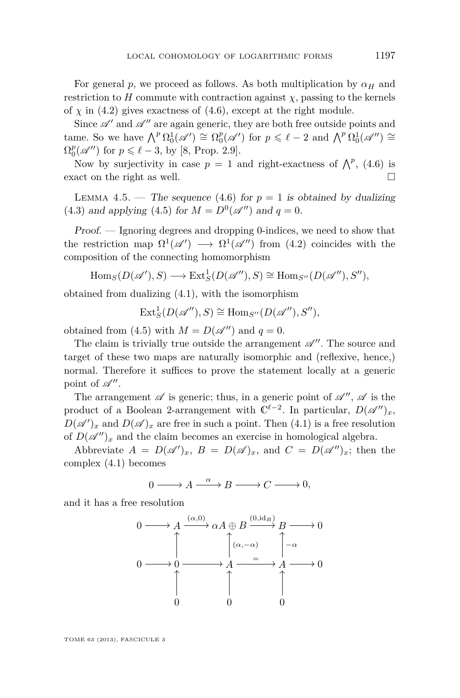<span id="page-21-0"></span>For general *p*, we proceed as follows. As both multiplication by  $\alpha_H$  and restriction to *H* commute with contraction against  $\chi$ , passing to the kernels of  $\chi$  in [\(4.2\)](#page-19-0) gives exactness of [\(4.6\)](#page-20-0), except at the right module.

Since  $\mathscr{A}'$  and  $\mathscr{A}''$  are again generic, they are both free outside points and tame. So we have  $\bigwedge^p \Omega_0^1(\mathscr{A}') \cong \Omega_0^p(\mathscr{A}')$  for  $p \leq \ell - 2$  and  $\bigwedge^p \Omega_0^1(\mathscr{A}'') \cong$  $\Omega_0^p(\mathscr{A}'')$  for  $p \leq \ell - 3$ , by [\[8,](#page-25-0) Prop. 2.9].

Now by surjectivity in case  $p = 1$  and right-exactness of  $\bigwedge^p$ , [\(4.6\)](#page-20-0) is exact on the right as well.

LEMMA 4.5. — The sequence [\(4.6\)](#page-20-0) for  $p = 1$  is obtained by dualizing [\(4.3\)](#page-20-0) and applying [\(4.5\)](#page-20-0) for  $M = D^0(\mathscr{A}'')$  and  $q = 0$ .

Proof. — Ignoring degrees and dropping 0-indices, we need to show that the restriction map  $\Omega^1(\mathscr{A}') \longrightarrow \Omega^1(\mathscr{A}'')$  from [\(4.2\)](#page-19-0) coincides with the composition of the connecting homomorphism

$$
\text{Hom}_S(D(\mathscr{A}'), S) \longrightarrow \text{Ext}^1_S(D(\mathscr{A}''), S) \cong \text{Hom}_{S''}(D(\mathscr{A}''), S''),
$$

obtained from dualizing [\(4.1\)](#page-19-0), with the isomorphism

$$
\text{Ext}^1_S(D(\mathscr{A}''), S) \cong \text{Hom}_{S''}(D(\mathscr{A}''), S''),
$$

obtained from [\(4.5\)](#page-20-0) with  $M = D(\mathscr{A}'')$  and  $q = 0$ .

The claim is trivially true outside the arrangement  $\mathscr{A}''$ . The source and target of these two maps are naturally isomorphic and (reflexive, hence,) normal. Therefore it suffices to prove the statement locally at a generic point of  $\mathscr{A}''$ .

The arrangement  $\mathscr A$  is generic; thus, in a generic point of  $\mathscr A'',\mathscr A$  is the product of a Boolean 2-arrangement with  $\mathbb{C}^{\ell-2}$ . In particular,  $D(\mathscr{A}'')_x$ ,  $D(\mathscr{A})_x$  and  $D(\mathscr{A})_x$  are free in such a point. Then  $(4.1)$  is a free resolution of  $D(\mathscr{A}'')_x$  and the claim becomes an exercise in homological algebra.

Abbreviate  $A = D(\mathscr{A})_x$ ,  $B = D(\mathscr{A})_x$ , and  $C = D(\mathscr{A})_x$ ; then the complex [\(4.1\)](#page-19-0) becomes

$$
0 \longrightarrow A \xrightarrow{\alpha} B \longrightarrow C \longrightarrow 0,
$$

and it has a free resolution

$$
0 \longrightarrow A \xrightarrow{(\alpha,0)} \alpha A \oplus B \xrightarrow{(0,\text{id}_B)} B \longrightarrow 0
$$
  

$$
0 \longrightarrow 0 \longrightarrow A \xrightarrow{=} A \longrightarrow 0
$$
  

$$
0 \longrightarrow 0 \qquad 0 \qquad 0
$$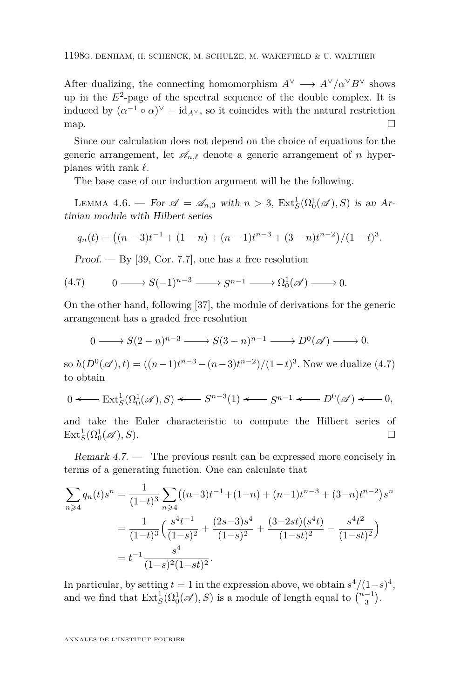<span id="page-22-0"></span>After dualizing, the connecting homomorphism  $A^{\vee} \longrightarrow A^{\vee}/\alpha^{\vee}B^{\vee}$  shows up in the  $E^2$ -page of the spectral sequence of the double complex. It is induced by  $(\alpha^{-1} \circ \alpha)^{\vee} = id_{A^{\vee}}$ , so it coincides with the natural restriction map.  $\Box$ 

Since our calculation does not depend on the choice of equations for the generic arrangement, let  $\mathscr{A}_{n,\ell}$  denote a generic arrangement of *n* hyperplanes with rank  $\ell$ .

The base case of our induction argument will be the following.

LEMMA 4.6. — For  $\mathscr{A} = \mathscr{A}_{n,3}$  with  $n > 3$ ,  $\text{Ext}^1_S(\Omega_0^1(\mathscr{A}), S)$  is an Artinian module with Hilbert series

$$
q_n(t) = ((n-3)t^{-1} + (1-n) + (n-1)t^{n-3} + (3-n)t^{n-2})/(1-t)^3.
$$

 $Proof. - By [39, Cor. 7.7], one has a free resolution$  $Proof. - By [39, Cor. 7.7], one has a free resolution$  $Proof. - By [39, Cor. 7.7], one has a free resolution$ 

$$
(4.7) \qquad 0 \longrightarrow S(-1)^{n-3} \longrightarrow S^{n-1} \longrightarrow \Omega_0^1(\mathscr{A}) \longrightarrow 0.
$$

On the other hand, following [\[37\]](#page-27-0), the module of derivations for the generic arrangement has a graded free resolution

$$
0 \longrightarrow S(2-n)^{n-3} \longrightarrow S(3-n)^{n-1} \longrightarrow D^0(\mathscr{A}) \longrightarrow 0,
$$

so  $h(D^0(\mathscr{A}), t) = ((n-1)t^{n-3} - (n-3)t^{n-2})/(1-t)^3$ . Now we dualize (4.7) to obtain

$$
0 \longleftarrow \text{Ext}_{S}^{1}(\Omega_{0}^{1}(\mathscr{A}), S) \longleftarrow S^{n-3}(1) \longleftarrow S^{n-1} \longleftarrow D^{0}(\mathscr{A}) \longleftarrow 0,
$$

and take the Euler characteristic to compute the Hilbert series of  $\text{Ext}^1_S(\Omega^1_0(\mathscr{A}), S).$ 

Remark 4.7. — The previous result can be expressed more concisely in terms of a generating function. One can calculate that

$$
\sum_{n\geqslant 4} q_n(t)s^n = \frac{1}{(1-t)^3} \sum_{n\geqslant 4} ((n-3)t^{-1} + (1-n) + (n-1)t^{n-3} + (3-n)t^{n-2})s^n
$$

$$
= \frac{1}{(1-t)^3} \left(\frac{s^4t^{-1}}{(1-s)^2} + \frac{(2s-3)s^4}{(1-s)^2} + \frac{(3-2st)(s^4t)}{(1-st)^2} - \frac{s^4t^2}{(1-st)^2}\right)
$$

$$
= t^{-1} \frac{s^4}{(1-s)^2(1-st)^2}.
$$

In particular, by setting  $t = 1$  in the expression above, we obtain  $s^4/(1-s)^4$ , and we find that  $\text{Ext}^1_S(\Omega_0^1(\mathscr{A}), S)$  is a module of length equal to  $\binom{n-1}{3}$ .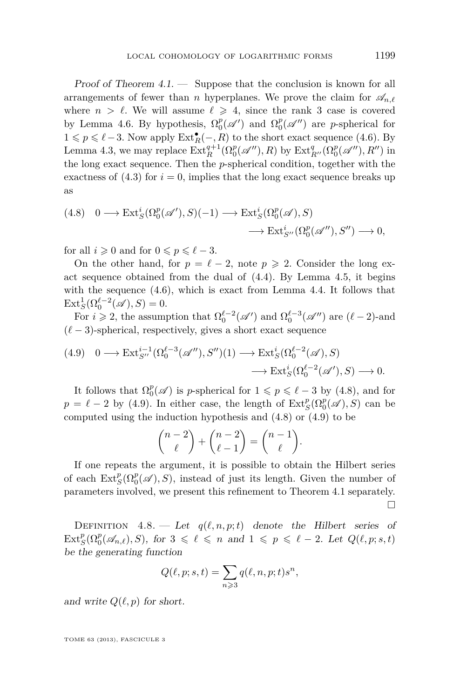<span id="page-23-0"></span>Proof of Theorem  $4.1.$  — Suppose that the conclusion is known for all arrangements of fewer than *n* hyperplanes. We prove the claim for  $\mathscr{A}_{n,\ell}$ where  $n > \ell$ . We will assume  $\ell \geq 4$ , since the rank 3 case is covered by Lemma [4.6.](#page-22-0) By hypothesis,  $\Omega_0^p(\mathscr{A}')$  and  $\Omega_0^p(\mathscr{A}'')$  are *p*-spherical for  $1 ≤ p ≤ l - 3$ . Now apply  $\text{Ext}^{\bullet}_R(-, R)$  to the short exact sequence [\(4.6\)](#page-20-0). By Lemma [4.3,](#page-20-0) we may replace  $\text{Ext}_{R}^{q+1}(\Omega_{0}^{p}(\mathscr{A}''),R)$  by  $\text{Ext}_{R''}^{q}(\Omega_{0}^{p}(\mathscr{A}''),R'')$  in the long exact sequence. Then the *p*-spherical condition, together with the exactness of  $(4.3)$  for  $i = 0$ , implies that the long exact sequence breaks up as

$$
(4.8) \quad 0 \longrightarrow \text{Ext}_{S}^{i}(\Omega_{0}^{p}(\mathscr{A}'), S)(-1) \longrightarrow \text{Ext}_{S}^{i}(\Omega_{0}^{p}(\mathscr{A}), S) \longrightarrow \text{Ext}_{S''}^{i}(\Omega_{0}^{p}(\mathscr{A}''), S'') \longrightarrow 0,
$$

for all  $i \geqslant 0$  and for  $0 \leqslant p \leqslant \ell - 3$ .

On the other hand, for  $p = \ell - 2$ , note  $p \ge 2$ . Consider the long exact sequence obtained from the dual of [\(4.4\)](#page-20-0). By Lemma [4.5,](#page-21-0) it begins with the sequence  $(4.6)$ , which is exact from Lemma [4.4.](#page-20-0) It follows that  $\text{Ext}_{S}^{1}(\Omega_{0}^{\ell-2}(\mathscr{A}), S) = 0.$ 

For  $i \geq 2$ , the assumption that  $\Omega_0^{\ell-2}(\mathscr{A}')$  and  $\Omega_0^{\ell-3}(\mathscr{A}'')$  are  $(\ell-2)$ -and  $(\ell - 3)$ -spherical, respectively, gives a short exact sequence

$$
(4.9) \quad 0 \longrightarrow \text{Ext}_{S''}^{i-1}(\Omega_0^{\ell-3}(\mathscr{A}''), S'')(1) \longrightarrow \text{Ext}_{S}^{i}(\Omega_0^{\ell-2}(\mathscr{A}), S) \longrightarrow \text{Ext}_{S}^{i}(\Omega_0^{\ell-2}(\mathscr{A}'), S) \longrightarrow 0.
$$

It follows that  $\Omega_0^p(\mathscr{A})$  is *p*-spherical for  $1 \leqslant p \leqslant \ell - 3$  by (4.8), and for  $p = \ell - 2$  by (4.9). In either case, the length of  $\text{Ext}^p_S(\Omega^p_0(\mathscr{A}), S)$  can be computed using the induction hypothesis and (4.8) or (4.9) to be

$$
\binom{n-2}{\ell} + \binom{n-2}{\ell-1} = \binom{n-1}{\ell}.
$$

If one repeats the argument, it is possible to obtain the Hilbert series of each  $\text{Ext}^p_S(\Omega^p_0(\mathscr{A}), S)$ , instead of just its length. Given the number of parameters involved, we present this refinement to Theorem [4.1](#page-19-0) separately.  $\Box$ 

DEFINITION  $4.8.$  — Let  $q(\ell, n, p; t)$  denote the Hilbert series of  $\text{Ext}^p_S(\Omega_0^p(\mathscr{A}_{n,\ell}), S)$ , for  $3 \leq \ell \leq n$  and  $1 \leq p \leq \ell - 2$ . Let  $Q(\ell, p; s, t)$ be the generating function

$$
Q(\ell, p; s, t) = \sum_{n \geqslant 3} q(\ell, n, p; t) s^n,
$$

and write  $Q(\ell, p)$  for short.

TOME 63 (2013), FASCICULE 3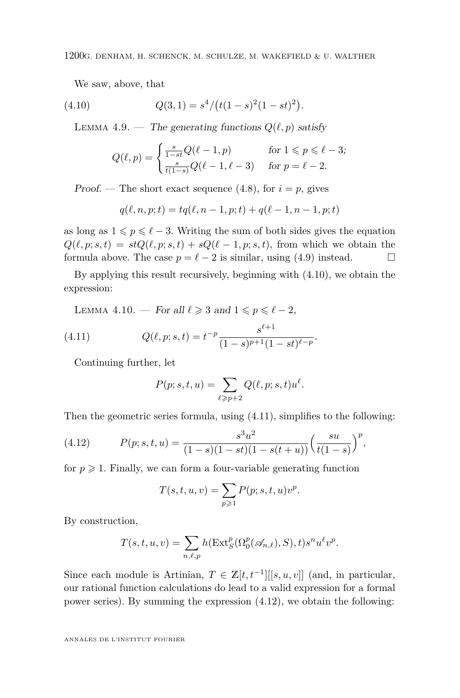We saw, above, that

(4.10) 
$$
Q(3,1) = s^4/(t(1-s)^2(1-st)^2).
$$

LEMMA 4.9. — The generating functions  $Q(\ell, p)$  satisfy

$$
Q(\ell, p) = \begin{cases} \frac{s}{1 - st} Q(\ell - 1, p) & \text{for } 1 \leq p \leq \ell - 3; \\ \frac{s}{t(1 - s)} Q(\ell - 1, \ell - 3) & \text{for } p = \ell - 2. \end{cases}
$$

Proof. — The short exact sequence  $(4.8)$ , for  $i = p$ , gives

$$
q(\ell, n, p; t) = tq(\ell, n - 1, p; t) + q(\ell - 1, n - 1, p; t)
$$

as long as  $1 \leqslant p \leqslant \ell - 3$ . Writing the sum of both sides gives the equation  $Q(\ell, p; s, t) = stQ(\ell, p; s, t) + sQ(\ell - 1, p; s, t)$ , from which we obtain the formula above. The case  $p = \ell - 2$  is similar, using [\(4.9\)](#page-23-0) instead.

By applying this result recursively, beginning with (4.10), we obtain the expression:

LEMMA 4.10. — For all  $\ell \geq 3$  and  $1 \leq p \leq \ell - 2$ ,

(4.11) 
$$
Q(\ell, p; s, t) = t^{-p} \frac{s^{\ell+1}}{(1-s)^{p+1}(1-st)^{\ell-p}}.
$$

Continuing further, let

$$
P(p;s,t,u) = \sum_{\ell \ge p+2} Q(\ell,p;s,t)u^{\ell}.
$$

Then the geometric series formula, using (4.11), simplifies to the following:

(4.12) 
$$
P(p; s, t, u) = \frac{s^3 u^2}{(1 - s)(1 - st)(1 - s(t + u))} \left(\frac{su}{t(1 - s)}\right)^p,
$$

for  $p \geq 1$ . Finally, we can form a four-variable generating function

$$
T(s,t,u,v) = \sum_{p \geq 1} P(p;s,t,u)v^p.
$$

By construction,

$$
T(s,t,u,v) = \sum_{n,\ell,p} h(\operatorname{Ext}^p_S(\Omega_0^p(\mathscr{A}_{n,\ell}),S),t) s^n u^\ell v^p.
$$

Since each module is Artinian,  $T \in \mathbb{Z}[t, t^{-1}][[s, u, v]]$  (and, in particular, our rational function calculations do lead to a valid expression for a formal power series). By summing the expression (4.12), we obtain the following: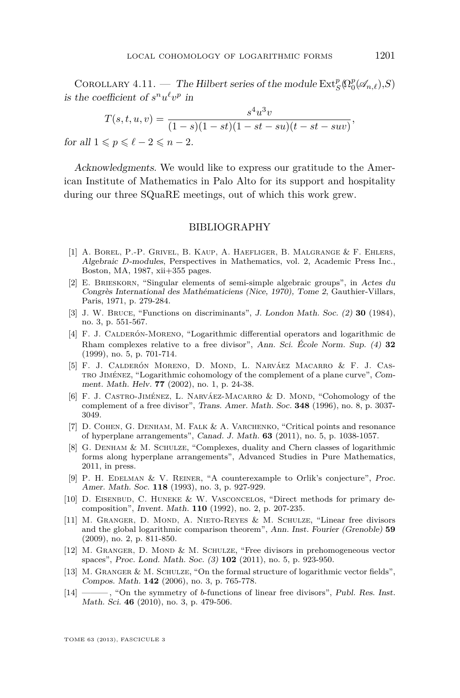<span id="page-25-0"></span>COROLLARY 4.11. — The Hilbert series of the module  $\text{Ext}^p_S(\Omega^p_0(\mathscr{A}_{n,\ell}),S)$ is the coefficient of  $s^n u^{\ell} v^p$  in

$$
T(s,t,u,v) = \frac{s^4 u^3 v}{(1-s)(1-st)(1-st-su)(t-st-suv)},
$$

for all  $1 \leqslant p \leqslant \ell - 2 \leqslant n - 2$ .

Acknowledgments. We would like to express our gratitude to the American Institute of Mathematics in Palo Alto for its support and hospitality during our three SQuaRE meetings, out of which this work grew.

#### BIBLIOGRAPHY

- [1] A. Borel, P.-P. Grivel, B. Kaup, A. Haefliger, B. Malgrange & F. Ehlers, Algebraic *D*-modules, Perspectives in Mathematics, vol. 2, Academic Press Inc., Boston, MA, 1987, xii+355 pages.
- [2] E. Brieskorn, "Singular elements of semi-simple algebraic groups", in Actes du Congrès International des Mathématiciens (Nice, 1970), Tome 2, Gauthier-Villars, Paris, 1971, p. 279-284.
- [3] J. W. Bruce, "Functions on discriminants", J. London Math. Soc. (2) **30** (1984), no. 3, p. 551-567.
- [4] F. J. Calderón-Moreno, "Logarithmic differential operators and logarithmic de Rham complexes relative to a free divisor", Ann. Sci. École Norm. Sup. (4) **32** (1999), no. 5, p. 701-714.
- [5] F. J. Calderón Moreno, D. Mond, L. Narváez Macarro & F. J. Castro Jiménez, "Logarithmic cohomology of the complement of a plane curve", Comment. Math. Helv. **77** (2002), no. 1, p. 24-38.
- [6] F. J. CASTRO-JIMÉNEZ, L. NARVÁEZ-MACARRO & D. MOND, "Cohomology of the complement of a free divisor", Trans. Amer. Math. Soc. **348** (1996), no. 8, p. 3037- 3049.
- [7] D. Cohen, G. Denham, M. Falk & A. Varchenko, "Critical points and resonance of hyperplane arrangements", Canad. J. Math. **63** (2011), no. 5, p. 1038-1057.
- [8] G. Denham & M. Schulze, "Complexes, duality and Chern classes of logarithmic forms along hyperplane arrangements", Advanced Studies in Pure Mathematics, 2011, in press.
- [9] P. H. EDELMAN & V. REINER, "A counterexample to Orlik's conjecture", Proc. Amer. Math. Soc. **118** (1993), no. 3, p. 927-929.
- [10] D. Eisenbud, C. Huneke & W. Vasconcelos, "Direct methods for primary decomposition", Invent. Math. **110** (1992), no. 2, p. 207-235.
- [11] M. Granger, D. Mond, A. Nieto-Reyes & M. Schulze, "Linear free divisors and the global logarithmic comparison theorem", Ann. Inst. Fourier (Grenoble) **59** (2009), no. 2, p. 811-850.
- [12] M. Granger, D. Mond & M. Schulze, "Free divisors in prehomogeneous vector spaces", Proc. Lond. Math. Soc. (3) **102** (2011), no. 5, p. 923-950.
- [13] M. GRANGER & M. SCHULZE, "On the formal structure of logarithmic vector fields", Compos. Math. **142** (2006), no. 3, p. 765-778.
- [14] ——— , "On the symmetry of *b*-functions of linear free divisors", Publ. Res. Inst. Math. Sci. **46** (2010), no. 3, p. 479-506.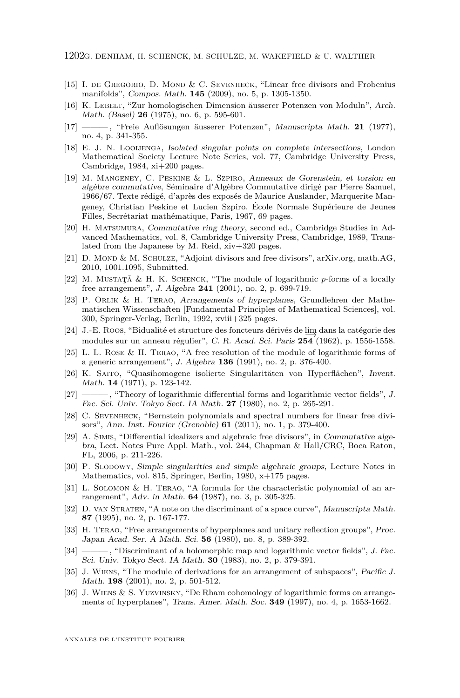- <span id="page-26-0"></span>[15] I. de Gregorio, D. Mond & C. Sevenheck, "Linear free divisors and Frobenius manifolds", Compos. Math. **145** (2009), no. 5, p. 1305-1350.
- [16] K. LEBELT, "Zur homologischen Dimension äusserer Potenzen von Moduln", Arch. Math. (Basel) **26** (1975), no. 6, p. 595-601.
- [17] ——— , "Freie Auflösungen äusserer Potenzen", Manuscripta Math. **21** (1977), no. 4, p. 341-355.
- [18] E. J. N. Looijenga, Isolated singular points on complete intersections, London Mathematical Society Lecture Note Series, vol. 77, Cambridge University Press, Cambridge,  $1984$ ,  $xi+200$  pages.
- [19] M. Mangeney, C. Peskine & L. Szpiro, Anneaux de Gorenstein, et torsion en algèbre commutative, Séminaire d'Algèbre Commutative dirigé par Pierre Samuel, 1966/67. Texte rédigé, d'après des exposés de Maurice Auslander, Marquerite Mangeney, Christian Peskine et Lucien Szpiro. École Normale Supérieure de Jeunes Filles, Secrétariat mathématique, Paris, 1967, 69 pages.
- [20] H. Matsumura, Commutative ring theory, second ed., Cambridge Studies in Advanced Mathematics, vol. 8, Cambridge University Press, Cambridge, 1989, Translated from the Japanese by M. Reid, xiv+320 pages.
- [21] D. Mond & M. Schulze, "Adjoint divisors and free divisors", arXiv.org, math.AG, 2010, 1001.1095, Submitted.
- [22] M. MUSTATĂ & H. K. SCHENCK, "The module of logarithmic  $p$ -forms of a locally free arrangement", J. Algebra **241** (2001), no. 2, p. 699-719.
- [23] P. Orlik & H. Terao, Arrangements of hyperplanes, Grundlehren der Mathematischen Wissenschaften [Fundamental Principles of Mathematical Sciences], vol. 300, Springer-Verlag, Berlin, 1992, xviii+325 pages.
- [24] J.-E. Roos, "Bidualité et structure des foncteurs dérivés de lim−→ dans la catégorie des modules sur un anneau régulier", C. R. Acad. Sci. Paris **254** (1962), p. 1556-1558.
- [25] L. L. Rose & H. Terao, "A free resolution of the module of logarithmic forms of a generic arrangement", J. Algebra **136** (1991), no. 2, p. 376-400.
- [26] K. Saito, "Quasihomogene isolierte Singularitäten von Hyperflächen", Invent. Math. **14** (1971), p. 123-142.
- [27] ——, "Theory of logarithmic differential forms and logarithmic vector fields", J. Fac. Sci. Univ. Tokyo Sect. IA Math. **27** (1980), no. 2, p. 265-291.
- [28] C. Sevenheck, "Bernstein polynomials and spectral numbers for linear free divisors", Ann. Inst. Fourier (Grenoble) **61** (2011), no. 1, p. 379-400.
- [29] A. Simis, "Differential idealizers and algebraic free divisors", in Commutative algebra, Lect. Notes Pure Appl. Math., vol. 244, Chapman & Hall/CRC, Boca Raton, FL, 2006, p. 211-226.
- [30] P. Slodowy, Simple singularities and simple algebraic groups, Lecture Notes in Mathematics, vol. 815, Springer, Berlin, 1980, x+175 pages.
- [31] L. Solomon & H. Terao, "A formula for the characteristic polynomial of an arrangement", Adv. in Math. **64** (1987), no. 3, p. 305-325.
- [32] D. van Straten, "A note on the discriminant of a space curve", Manuscripta Math. **87** (1995), no. 2, p. 167-177.
- [33] H. Terao, "Free arrangements of hyperplanes and unitary reflection groups", Proc. Japan Acad. Ser. A Math. Sci. **56** (1980), no. 8, p. 389-392.
- [34] ———, "Discriminant of a holomorphic map and logarithmic vector fields", J. Fac. Sci. Univ. Tokyo Sect. IA Math. **30** (1983), no. 2, p. 379-391.
- [35] J. WIENS, "The module of derivations for an arrangement of subspaces", Pacific J. Math. **198** (2001), no. 2, p. 501-512.
- [36] J. Wiens & S. Yuzvinsky, "De Rham cohomology of logarithmic forms on arrangements of hyperplanes", Trans. Amer. Math. Soc. **349** (1997), no. 4, p. 1653-1662.